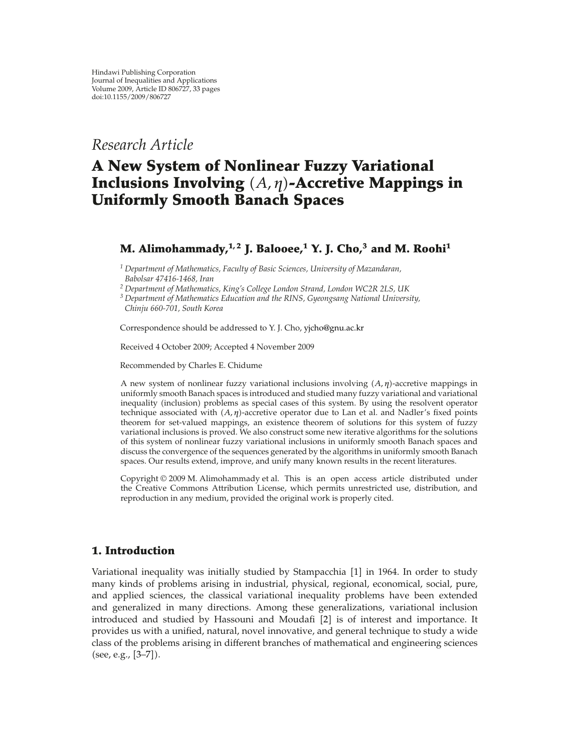# *Research Article*

# **A New System of Nonlinear Fuzzy Variational** Inclusions Involving (*A,η*)-Accretive Mappings in **Uniformly Smooth Banach Spaces**

## **M.** Alimohammady,<sup> $1,2$ </sup> J. Balooee,<sup> $1$ </sup> Y. J. Cho,<sup> $3$ </sup> and M. Roohi<sup>1</sup>

*<sup>1</sup> Department of Mathematics, Faculty of Basic Sciences, University of Mazandaran, Babolsar 47416-1468, Iran*

*<sup>2</sup> Department of Mathematics, King's College London Strand, London WC2R 2LS, UK*

*<sup>3</sup> Department of Mathematics Education and the RINS, Gyeongsang National University, Chinju 660-701, South Korea*

Correspondence should be addressed to Y. J. Cho, yjcho@gnu.ac.kr

Received 4 October 2009; Accepted 4 November 2009

Recommended by Charles E. Chidume

A new system of nonlinear fuzzy variational inclusions involving  $(A, η)$ -accretive mappings in uniformly smooth Banach spaces is introduced and studied many fuzzy variational and variational inequality (inclusion) problems as special cases of this system. By using the resolvent operator technique associated with  $(A, \eta)$ -accretive operator due to Lan et al. and Nadler's fixed points theorem for set-valued mappings, an existence theorem of solutions for this system of fuzzy variational inclusions is proved. We also construct some new iterative algorithms for the solutions of this system of nonlinear fuzzy variational inclusions in uniformly smooth Banach spaces and discuss the convergence of the sequences generated by the algorithms in uniformly smooth Banach spaces. Our results extend, improve, and unify many known results in the recent literatures.

Copyright © 2009 M. Alimohammady et al. This is an open access article distributed under the Creative Commons Attribution License, which permits unrestricted use, distribution, and reproduction in any medium, provided the original work is properly cited.

### **1. Introduction**

Variational inequality was initially studied by Stampacchia [1] in 1964. In order to study many kinds of problems arising in industrial, physical, regional, economical, social, pure, and applied sciences, the classical variational inequality problems have been extended and generalized in many directions. Among these generalizations, variational inclusion introduced and studied by Hassouni and Moudafi  $[2]$  is of interest and importance. It provides us with a unified, natural, novel innovative, and general technique to study a wide class of the problems arising in different branches of mathematical and engineering sciences (see, e.g., [3–7]).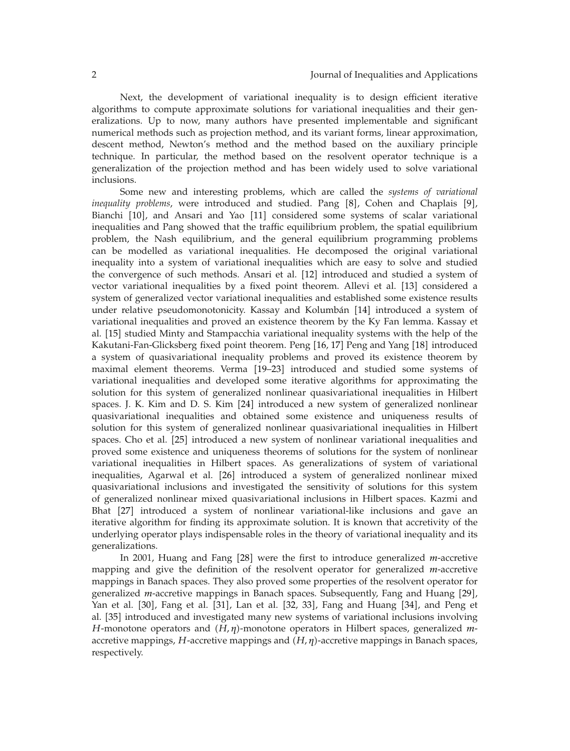Next, the development of variational inequality is to design efficient iterative algorithms to compute approximate solutions for variational inequalities and their generalizations. Up to now, many authors have presented implementable and significant numerical methods such as projection method, and its variant forms, linear approximation, descent method, Newton's method and the method based on the auxiliary principle technique. In particular, the method based on the resolvent operator technique is a generalization of the projection method and has been widely used to solve variational inclusions.

Some new and interesting problems, which are called the *systems of variational inequality problems*, were introduced and studied. Pang [8], Cohen and Chaplais [9], Bianchi [10], and Ansari and Yao [11] considered some systems of scalar variational inequalities and Pang showed that the traffic equilibrium problem, the spatial equilibrium problem, the Nash equilibrium, and the general equilibrium programming problems can be modelled as variational inequalities. He decomposed the original variational inequality into a system of variational inequalities which are easy to solve and studied the convergence of such methods. Ansari et al. [12] introduced and studied a system of vector variational inequalities by a fixed point theorem. Allevi et al. [13] considered a system of generalized vector variational inequalities and established some existence results under relative pseudomonotonicity. Kassay and Kolumbán [14] introduced a system of variational inequalities and proved an existence theorem by the Ky Fan lemma. Kassay et al. [15] studied Minty and Stampacchia variational inequality systems with the help of the Kakutani-Fan-Glicksberg fixed point theorem. Peng 16, 17 Peng and Yang 18 introduced a system of quasivariational inequality problems and proved its existence theorem by maximal element theorems. Verma [19–23] introduced and studied some systems of variational inequalities and developed some iterative algorithms for approximating the solution for this system of generalized nonlinear quasivariational inequalities in Hilbert spaces. J. K. Kim and D. S. Kim [24] introduced a new system of generalized nonlinear quasivariational inequalities and obtained some existence and uniqueness results of solution for this system of generalized nonlinear quasivariational inequalities in Hilbert spaces. Cho et al. [25] introduced a new system of nonlinear variational inequalities and proved some existence and uniqueness theorems of solutions for the system of nonlinear variational inequalities in Hilbert spaces. As generalizations of system of variational inequalities, Agarwal et al. [26] introduced a system of generalized nonlinear mixed quasivariational inclusions and investigated the sensitivity of solutions for this system of generalized nonlinear mixed quasivariational inclusions in Hilbert spaces. Kazmi and Bhat [27] introduced a system of nonlinear variational-like inclusions and gave an iterative algorithm for finding its approximate solution. It is known that accretivity of the underlying operator plays indispensable roles in the theory of variational inequality and its generalizations.

In 2001, Huang and Fang [28] were the first to introduce generalized *m*-accretive mapping and give the definition of the resolvent operator for generalized *m*-accretive mappings in Banach spaces. They also proved some properties of the resolvent operator for generalized *m*-accretive mappings in Banach spaces. Subsequently, Fang and Huang [29], Yan et al. [30], Fang et al. [31], Lan et al. [32, 33], Fang and Huang [34], and Peng et al. [35] introduced and investigated many new systems of variational inclusions involving *H*-monotone operators and  $(H, \eta)$ -monotone operators in Hilbert spaces, generalized *m*accretive mappings,  $H$ -accretive mappings and  $(H, \eta)$ -accretive mappings in Banach spaces, respectively.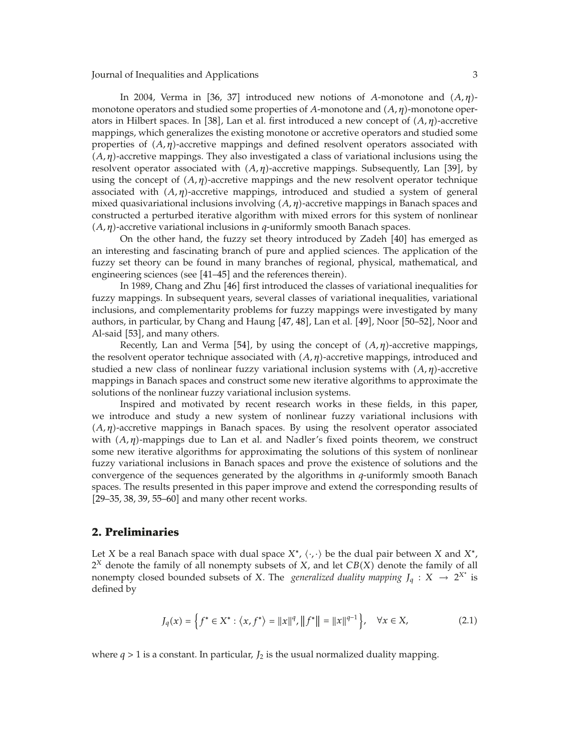In 2004, Verma in [36, 37] introduced new notions of *A*-monotone and  $(A, η)$ monotone operators and studied some properties of A-monotone and  $(A, η)$ -monotone operators in Hilbert spaces. In [38], Lan et al. first introduced a new concept of  $(A, \eta)$ -accretive mappings, which generalizes the existing monotone or accretive operators and studied some properties of  $(A, \eta)$ -accretive mappings and defined resolvent operators associated with  $(A, \eta)$ -accretive mappings. They also investigated a class of variational inclusions using the resolvent operator associated with  $(A, \eta)$ -accretive mappings. Subsequently, Lan [39], by using the concept of  $(A, \eta)$ -accretive mappings and the new resolvent operator technique associated with  $(A, η)$ -accretive mappings, introduced and studied a system of general mixed quasivariational inclusions involving  $(A, \eta)$ -accretive mappings in Banach spaces and constructed a perturbed iterative algorithm with mixed errors for this system of nonlinear -*A, η*-accretive variational inclusions in *q*-uniformly smooth Banach spaces.

On the other hand, the fuzzy set theory introduced by Zadeh [40] has emerged as an interesting and fascinating branch of pure and applied sciences. The application of the fuzzy set theory can be found in many branches of regional, physical, mathematical, and engineering sciences (see [41–45] and the references therein).

In 1989, Chang and Zhu [46] first introduced the classes of variational inequalities for fuzzy mappings. In subsequent years, several classes of variational inequalities, variational inclusions, and complementarity problems for fuzzy mappings were investigated by many authors, in particular, by Chang and Haung  $[47, 48]$ , Lan et al.  $[49]$ , Noor  $[50-52]$ , Noor and Al-said [53], and many others.

Recently, Lan and Verma [54], by using the concept of  $(A, η)$ -accretive mappings, the resolvent operator technique associated with  $(A, \eta)$ -accretive mappings, introduced and studied a new class of nonlinear fuzzy variational inclusion systems with  $(A, \eta)$ -accretive mappings in Banach spaces and construct some new iterative algorithms to approximate the solutions of the nonlinear fuzzy variational inclusion systems.

Inspired and motivated by recent research works in these fields, in this paper, we introduce and study a new system of nonlinear fuzzy variational inclusions with  $(A, \eta)$ -accretive mappings in Banach spaces. By using the resolvent operator associated with (A, η)-mappings due to Lan et al. and Nadler's fixed points theorem, we construct some new iterative algorithms for approximating the solutions of this system of nonlinear fuzzy variational inclusions in Banach spaces and prove the existence of solutions and the convergence of the sequences generated by the algorithms in *q*-uniformly smooth Banach spaces. The results presented in this paper improve and extend the corresponding results of  $[29-35, 38, 39, 55-60]$  and many other recent works.

#### **2. Preliminaries**

Let *X* be a real Banach space with dual space  $X^*$ ,  $\langle \cdot, \cdot \rangle$  be the dual pair between *X* and  $X^*$ ,  $2^X$  denote the family of all nonempty subsets of  $X$ , and let  $CB(X)$  denote the family of all nonempty closed bounded subsets of *X*. The *generalized duality mapping*  $J_q: X \rightarrow 2^{X^*}$  is defined by

$$
J_q(x) = \left\{ f^* \in X^* : \langle x, f^* \rangle = ||x||^q, ||f^*|| = ||x||^{q-1} \right\}, \quad \forall x \in X,
$$
 (2.1)

where  $q > 1$  is a constant. In particular,  $J_2$  is the usual normalized duality mapping.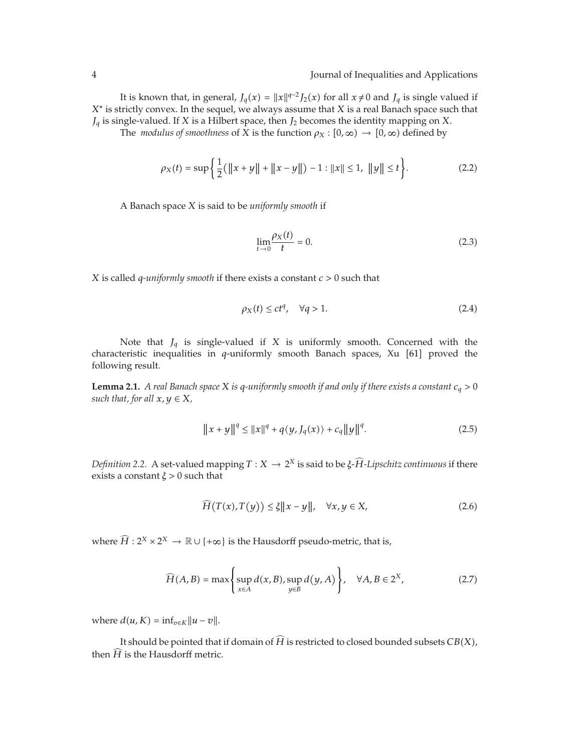It is known that, in general,  $J_q(x) = ||x||^{q-2} J_2(x)$  for all  $x \neq 0$  and  $J_q$  is single valued if *X*<sup>∗</sup> is strictly convex. In the sequel, we always assume that *X* is a real Banach space such that *Jq* is single-valued. If *X* is a Hilbert space, then *J*<sup>2</sup> becomes the identity mapping on *X*.

The *modulus of smoothness* of *X* is the function  $\rho_X : [0, \infty) \to [0, \infty)$  defined by

$$
\rho_X(t) = \sup \left\{ \frac{1}{2} (\|x + y\| + \|x - y\|) - 1 : \|x\| \le 1, \|y\| \le t \right\}.
$$
 (2.2)

A Banach space *X* is said to be *uniformly smooth* if

$$
\lim_{t \to 0} \frac{\rho_X(t)}{t} = 0. \tag{2.3}
$$

*X* is called *q-uniformly smooth* if there exists a constant *c >* 0 such that

$$
\rho_X(t) \le ct^q, \quad \forall q > 1. \tag{2.4}
$$

Note that  $J_q$  is single-valued if  $X$  is uniformly smooth. Concerned with the characteristic inequalities in *q*-uniformly smooth Banach spaces, Xu [61] proved the following result.

**Lemma 2.1.** *A real Banach space X is q-uniformly smooth if and only if there exists a constant*  $c_q > 0$ *such that, for all*  $x, y \in X$ *,* 

$$
||x + y||^{q} \le ||x||^{q} + q\langle y, J_{q}(x)\rangle + c_{q} ||y||^{q}.
$$
 (2.5)

*Definition 2.2.* A set-valued mapping  $T : X \to 2^X$  is said to be *ξ-H*-*Lipschitz continuous* if there exists a constant *ξ >* 0 such that

$$
\widehat{H}(T(x),T(y)) \le \xi \|x - y\|, \quad \forall x, y \in X,\tag{2.6}
$$

where  $\widehat{H}: 2^X \times 2^X \to \mathbb{R} \cup \{+\infty\}$  is the Hausdorff pseudo-metric, that is,

$$
\widehat{H}(A,B) = \max\left\{\sup_{x \in A} d(x,B), \sup_{y \in B} d(y,A)\right\}, \quad \forall A,B \in 2^X,\tag{2.7}
$$

where  $d(u, K) = \inf_{v \in K} ||u - v||$ .

It should be pointed that if domain of  $H$  is restricted to closed bounded subsets  $CB(X)$ , then  $H$  is the Hausdorff metric.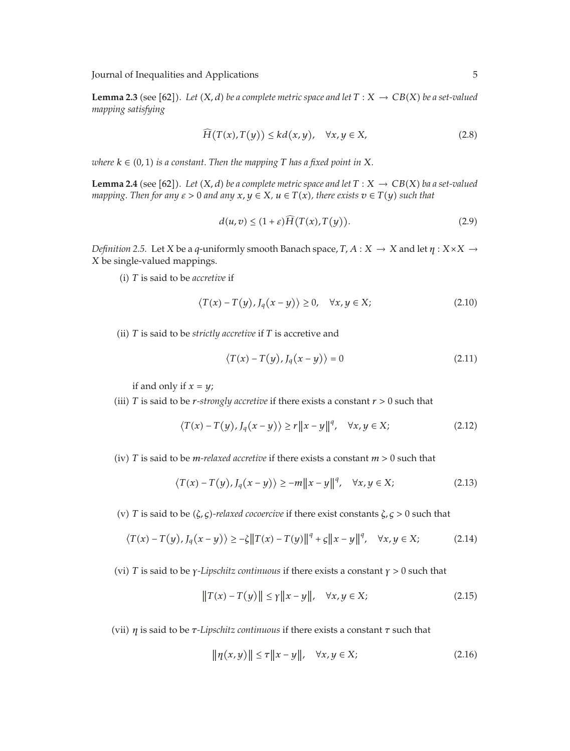**Lemma 2.3** (see [62]). Let  $(X, d)$  be a complete metric space and let  $T : X \to CB(X)$  be a set-valued *mapping satisfying*

$$
\widehat{H}(T(x),T(y)) \le kd(x,y), \quad \forall x, y \in X,
$$
\n(2.8)

 $\omega$ here  $k \in (0, 1)$  is a constant. Then the mapping  $T$  has a fixed point in  $X$ .

**Lemma 2.4** (see [62]). Let  $(X, d)$  be a complete metric space and let  $T : X \to CB(X)$  ba a set-valued *mapping. Then for any*  $\varepsilon > 0$  *and any*  $x, y \in X$ *,*  $u \in T(x)$ *, there exists*  $v \in T(y)$  *such that* 

$$
d(u,v) \le (1+\varepsilon)H\big(T(x),T(y)\big). \tag{2.9}
$$

*Definition 2.5.* Let *X* be a *q*-uniformly smooth Banach space, *T, A* : *X* → *X* and let *η* : *X*×*X* → *X* be single-valued mappings.

-i *T* is said to be *accretive* if

$$
\langle T(x) - T(y), J_q(x - y) \rangle \ge 0, \quad \forall x, y \in X; \tag{2.10}
$$

(ii) *T* is said to be *strictly accretive* if *T* is accretive and

$$
\langle T(x) - T(y), J_q(x - y) \rangle = 0 \tag{2.11}
$$

if and only if  $x = y$ ;

(iii) *T* is said to be *r*-strongly accretive if there exists a constant  $r > 0$  such that

$$
\langle T(x) - T(y), J_q(x - y) \rangle \ge r \|x - y\|^q, \quad \forall x, y \in X; \tag{2.12}
$$

(iv) *T* is said to be *m-relaxed accretive* if there exists a constant  $m > 0$  such that

$$
\langle T(x) - T(y), J_q(x - y) \rangle \ge -m \|x - y\|^q, \quad \forall x, y \in X; \tag{2.13}
$$

-v *T* is said to be -*ζ, ς-relaxed cocoercive* if there exist constants *ζ, ς >* 0 such that

$$
\langle T(x) - T(y), J_q(x - y) \rangle \ge -\zeta \|T(x) - T(y)\|^q + \zeta \|x - y\|^q, \quad \forall x, y \in X; \tag{2.14}
$$

-vi *T* is said to be *γ-Lipschitz continuous* if there exists a constant *γ >* 0 such that

$$
||T(x) - T(y)|| \le \gamma ||x - y||, \quad \forall x, y \in X;
$$
 (2.15)

-vii *η* is said to be *τ-Lipschitz continuous* if there exists a constant *τ* such that

$$
\|\eta(x,y)\| \le \tau \|x-y\|, \quad \forall x, y \in X; \tag{2.16}
$$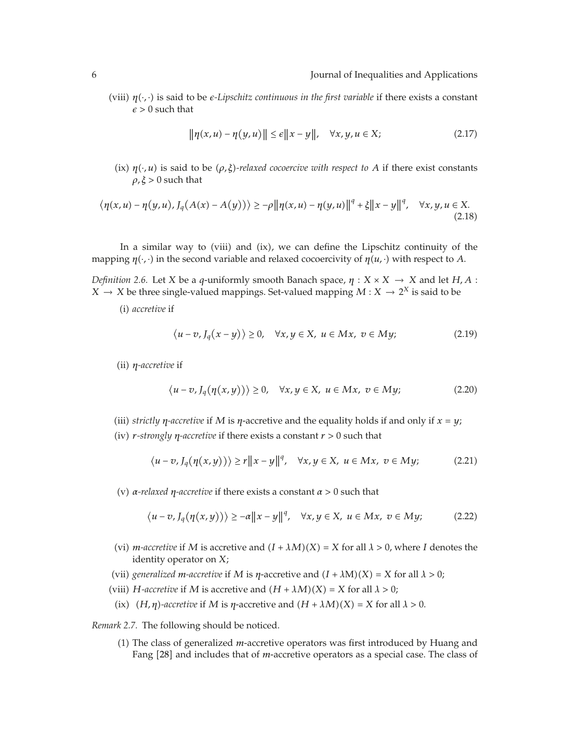(viii)  $η(·, ·)$  is said to be *e-Lipschitz continuous in the first variable* if there exists a constant  $\epsilon > 0$  such that

$$
\|\eta(x,u) - \eta(y,u)\| \le \epsilon \|x - y\|, \quad \forall x, y, u \in X; \tag{2.17}
$$

(ix)  $\eta(\cdot, u)$  is said to be  $(\rho, \xi)$ -relaxed cocoercive with respect to *A* if there exist constants *ρ, ξ >* 0 such that

$$
\langle \eta(x, u) - \eta(y, u), J_q(A(x) - A(y)) \rangle \ge -\rho \| \eta(x, u) - \eta(y, u) \|^q + \xi \| x - y \|^q, \quad \forall x, y, u \in X. \tag{2.18}
$$

In a similar way to (viii) and (ix), we can define the Lipschitz continuity of the mapping  $\eta(\cdot,\cdot)$  in the second variable and relaxed cocoercivity of  $\eta(u,\cdot)$  with respect to *A*.

*Definition 2.6.* Let *X* be a *q*-uniformly smooth Banach space,  $\eta : X \times X \rightarrow X$  and let  $H, A$ : *X*  $\rightarrow$  *X* be three single-valued mappings. Set-valued mapping *M* : *X*  $\rightarrow$  2<sup>*X*</sup> is said to be

(i) *accretive* if

$$
\langle u - v, J_q(x - y) \rangle \ge 0, \quad \forall x, y \in X, \ u \in Mx, \ v \in My;
$$
 (2.19)

(ii) *η-accretive* if

$$
\langle u - v, J_q(\eta(x, y)) \rangle \ge 0, \quad \forall x, y \in X, \ u \in Mx, \ v \in My;
$$
 (2.20)

- (iii) *strictly η*-accretive if *M* is *η*-accretive and the equality holds if and only if  $x = y$ ;
- -iv *r-strongly η-accretive* if there exists a constant *r >* 0 such that

$$
\langle u-v, J_q(\eta(x,y)) \rangle \ge r \|x-y\|^q, \quad \forall x, y \in X, \ u \in Mx, \ v \in My; \tag{2.21}
$$

-v *α-relaxed η-accretive* if there exists a constant *α >* 0 such that

$$
\langle u-v, J_q(\eta(x,y)) \rangle \ge -\alpha \|x-y\|^q, \quad \forall x, y \in X, \ u \in Mx, \ v \in My; \tag{2.22}
$$

- (vi) *m*-accretive if *M* is accretive and  $(I + \lambda M)(X) = X$  for all  $\lambda > 0$ , where *I* denotes the identity operator on *X*;
- (vii) *generalized m*-*accretive* if *M* is *η*-accretive and  $(I + \lambda M)(X) = X$  for all  $\lambda > 0$ ;
- (viii) *H*-*accretive* if *M* is accretive and  $(H + \lambda M)(X) = X$  for all  $\lambda > 0$ ;
	- (ix)  $(H, \eta)$ -accretive if *M* is  $\eta$ -accretive and  $(H + \lambda M)(X) = X$  for all  $\lambda > 0$ .

*Remark 2.7.* The following should be noticed.

(1) The class of generalized *m*-accretive operators was first introduced by Huang and Fang [28] and includes that of *m*-accretive operators as a special case. The class of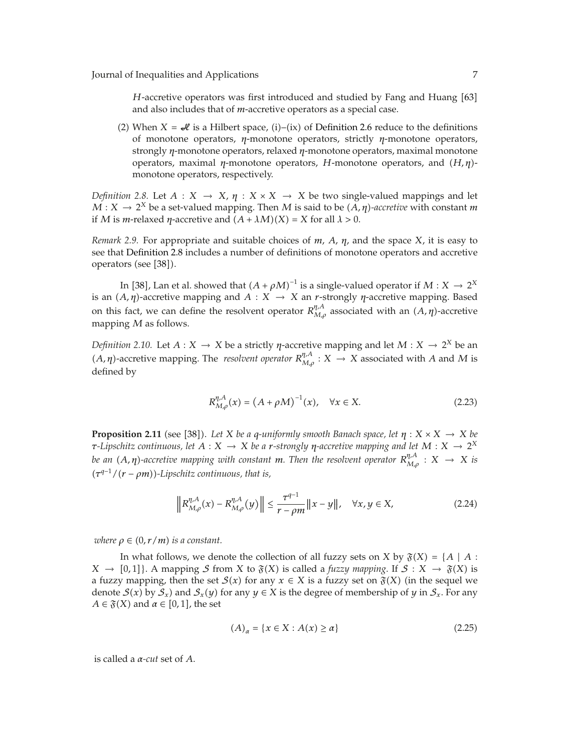*H*-accretive operators was first introduced and studied by Fang and Huang [63] and also includes that of *m*-accretive operators as a special case.

(2) When  $X = \mathcal{A}$  is a Hilbert space, (i)–(ix) of Definition 2.6 reduce to the definitions of monotone operators, *η*-monotone operators, strictly *η*-monotone operators, strongly *η*-monotone operators, relaxed *η*-monotone operators, maximal monotone operators, maximal *η*-monotone operators, *H*-monotone operators, and  $(H, η)$ monotone operators, respectively.

*Definition 2.8.* Let  $A: X \rightarrow X$ ,  $\eta: X \times X \rightarrow X$  be two single-valued mappings and let  $M: X \to 2^X$  be a set-valued mapping. Then *M* is said to be  $(A, \eta)$ -accretive with constant *m* if *M* is *m*-relaxed *η*-accretive and  $(A + \lambda M)(X) = X$  for all  $\lambda > 0$ .

*Remark 2.9.* For appropriate and suitable choices of *m*, *A*, *η*, and the space *X*, it is easy to see that Definition 2.8 includes a number of definitions of monotone operators and accretive operators (see [38]).

In [38], Lan et al. showed that  $(A + \rho M)^{-1}$  is a single-valued operator if  $M : X \to 2^X$ is an  $(A, \eta)$ -accretive mapping and  $A: X \to X$  an *r*-strongly  $\eta$ -accretive mapping. Based on this fact, we can define the resolvent operator  $R_{M,\rho}^{\eta,A}$  associated with an  $(A,\eta)$ -accretive mapping *M* as follows.

*Definition 2.10.* Let  $A: X \to X$  be a strictly  $\eta$ -accretive mapping and let  $M: X \to 2^X$  be an *A, η*)-accretive mapping. The *resolvent operator*  $R_{M,p}^{p, A}$  : *X* → *X* associated with *A* and *M* is defined by

$$
R_{M,\rho}^{\eta,A}(x) = (A + \rho M)^{-1}(x), \quad \forall x \in X.
$$
 (2.23)

**Proposition 2.11** (see [38]). Let *X* be a *q*-uniformly smooth Banach space, let  $\eta$  :  $X \times X \to X$  be *τ***-Lipschitz continuous, let**  $A: X \to X$  be a *r*-strongly *η*-accretive mapping and let  $M: X \to 2^X$ *be an* (A,  $\eta$ )-accretive mapping with constant  $m$ . Then the resolvent operator  $R_{M,\rho}^{\eta,A}:X$   $\rightarrow$   $X$  is -*τ <sup>q</sup>*−1*/*-*r* − *ρm-Lipschitz continuous, that is,*

$$
\left\| R_{M,\rho}^{\eta,A}(x) - R_{M,\rho}^{\eta,A}(y) \right\| \le \frac{\tau^{q-1}}{r - \rho m} \|x - y\|, \quad \forall x, y \in X,
$$
\n(2.24)

 $where p \in (0, r/m)$  *is a constant.* 

In what follows, we denote the collection of all fuzzy sets on *X* by  $\mathfrak{F}(X) = \{A \mid A : A\}$  $X \rightarrow [0,1]$ . A mapping S from X to  $\mathfrak{F}(X)$  is called a *fuzzy mapping*. If  $S: X \rightarrow \mathfrak{F}(X)$  is a fuzzy mapping, then the set  $\mathcal{S}(x)$  for any  $x \in X$  is a fuzzy set on  $\mathfrak{F}(X)$  (in the sequel we denote  $S(x)$  by  $S_x$ ) and  $S_x(y)$  for any  $y \in X$  is the degree of membership of *y* in  $S_x$ . For any  $A \in \mathfrak{F}(X)$  and  $\alpha \in [0,1]$ , the set

$$
(A)\alpha = \{x \in X : A(x) \ge \alpha\}
$$
\n<sup>(2.25)</sup>

is called a *α-cut* set of *A*.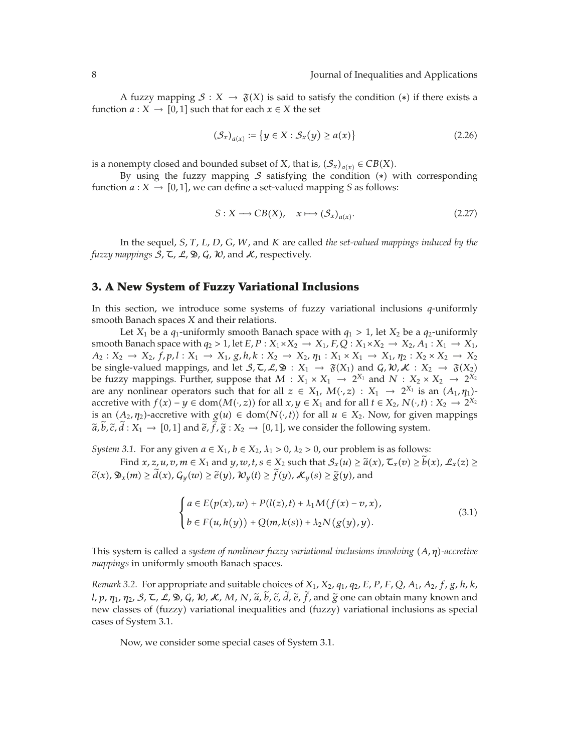A fuzzy mapping  $\mathcal{S}: X \to \mathfrak{F}(X)$  is said to satisfy the condition  $(*)$  if there exists a function *a* : *X*  $\rightarrow$  [0,1] such that for each *x*  $\in$  *X* the set

$$
(\mathcal{S}_x)_{a(x)} := \{ y \in X : \mathcal{S}_x(y) \ge a(x) \}
$$
\n
$$
(2.26)
$$

is a nonempty closed and bounded subset of *X*, that is,  $(\mathcal{S}_x)_{a(x)} \in CB(X)$ .

By using the fuzzy mapping  $S$  satisfying the condition  $(*)$  with corresponding function  $a: X \to [0,1]$ , we can define a set-valued mapping *S* as follows:

$$
S: X \longrightarrow CB(X), \quad x \longmapsto (\mathcal{S}_x)_{a(x)}.
$$
 (2.27)

In the sequel, *S*, *T*, *L*, *D*, *G*, *W*, and *K* are called *the set-valued mappings induced by the fuzzy mappings*  $S$ ,  $\mathcal{I}$ ,  $\mathcal{L}$ ,  $\mathcal{D}$ ,  $\mathcal{G}$ ,  $\mathcal{W}$ , and  $\mathcal{K}$ , respectively.

#### **3. A New System of Fuzzy Variational Inclusions**

In this section, we introduce some systems of fuzzy variational inclusions *q*-uniformly smooth Banach spaces *X* and their relations.

Let *X*<sub>1</sub> be a  $q_1$ -uniformly smooth Banach space with  $q_1 > 1$ , let *X*<sub>2</sub> be a  $q_2$ -uniformly smooth Banach space with  $q_2 > 1$ , let  $E, P: X_1 \times X_2 \to X_1, F, Q: X_1 \times X_2 \to X_2, A_1: X_1 \to X_1$ ,  $A_2: X_2 \to X_2$ ,  $f, p, l: X_1 \to X_1$ ,  $g, h, k: X_2 \to X_2$ ,  $\eta_1: X_1 \times X_1 \to X_1$ ,  $\eta_2: X_2 \times X_2 \to X_2$ be single-valued mappings, and let  $S, \mathcal{L}, \mathcal{L}, \mathfrak{D} : X_1 \to \mathfrak{F}(X_1)$  and  $\mathcal{G}, \mathcal{W}, \mathcal{K} : X_2 \to \mathfrak{F}(X_2)$ be fuzzy mappings. Further, suppose that  $M: X_1 \times X_1 \to 2^{X_1}$  and  $N: X_2 \times X_2 \to 2^{X_2}$ are any nonlinear operators such that for all  $z \in X_1$ ,  $M(\cdot, z) : X_1 \to 2^{X_1}$  is an  $(A_1, \eta_1)$ accretive with *f*(*x*) − *y* ∈ dom(*M*(·*, z*)) for all *x, y* ∈ *X*<sub>1</sub> and for all *t* ∈ *X*<sub>2</sub>, *N*(·*, t*) : *X*<sub>2</sub> → 2<sup>*X*<sub>2</sub></sup> is an  $(A_2, \eta_2)$ -accretive with  $g(u) \in \text{dom}(N(\cdot, t))$  for all  $u \in X_2$ . Now, for given mappings  $\tilde{a}, b, \tilde{c}, d : X_1 \to [0,1]$  and  $\tilde{e}, f, \tilde{g} : X_2 \to [0,1]$ , we consider the following system.

*System 3.1.* For any given  $a \in X_1$ ,  $b \in X_2$ ,  $\lambda_1 > 0$ ,  $\lambda_2 > 0$ , our problem is as follows:

Find *x*, *z*, *u*, *v*, *m* ∈ *X*<sub>1</sub> and *y*, *w*, *t*, *s* ∈ *X*<sub>2</sub> such that *S*<sub>*x*</sub>(*u*) ≥  $\tilde{a}(x)$ ,  $\mathcal{L}_x(v) \geq b(x)$ ,  $\mathcal{L}_x(z) \geq$  $\tilde{c}(x)$ ,  $\mathfrak{D}_x(m) \ge d(x)$ ,  $\mathcal{G}_y(w) \ge \tilde{e}(y)$ ,  $\mathcal{W}_y(t) \ge f(y)$ ,  $\mathcal{K}_y(s) \ge \tilde{g}(y)$ , and

$$
\begin{cases}\na \in E(p(x), w) + P(l(z), t) + \lambda_1 M(f(x) - v, x), \\
b \in F(u, h(y)) + Q(m, k(s)) + \lambda_2 N(g(y), y).\n\end{cases}
$$
\n(3.1)

This system is called a *system of nonlinear fuzzy variational inclusions involving* (*A,η*)-accretive *mappings* in uniformly smooth Banach spaces.

*Remark 3.2.* For appropriate and suitable choices of *X*1, *X*2, *q*1, *q*2, *E*, *P*, *F*, *Q*, *A*1, *A*2, *f*, *g*, *h*, *k*, *<sup>l</sup>*, *<sup>p</sup>*, *<sup>η</sup>*1, *<sup>η</sup>*2, <sup>S</sup>, <sup>T</sup>, <sup>L</sup>, <sup>D</sup>, <sup>G</sup>, <sup>W</sup>, <sup>K</sup>, *<sup>M</sup>*, *<sup>N</sup>*, *<sup>a</sup>*, *<sup>b</sup>*, *<sup>c</sup>*, *<sup>d</sup>*, *<sup>e</sup>*, *<sup>f</sup>*, and *<sup>g</sup>* one can obtain many known and new classes of (fuzzy) variational inequalities and (fuzzy) variational inclusions as special cases of System 3.1.

Now, we consider some special cases of System 3.1.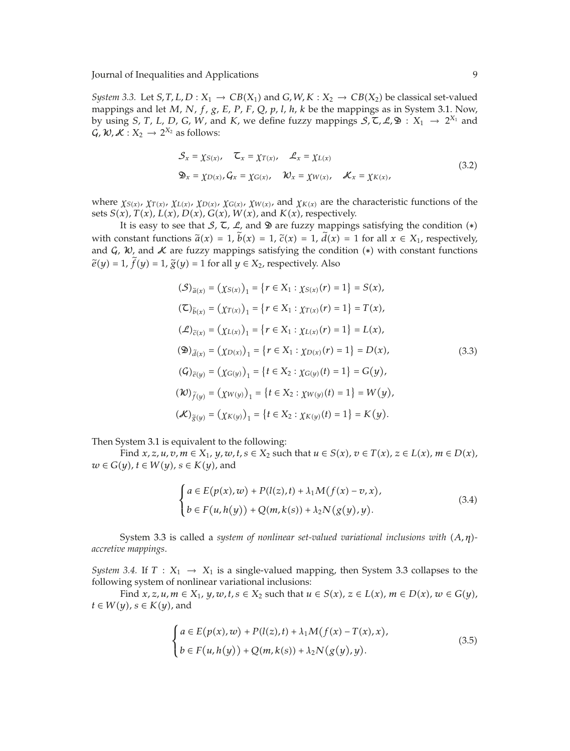*System 3.3.* Let *S, T, L, D* :  $X_1 \rightarrow CB(X_1)$  and *G, W, K* :  $X_2 \rightarrow CB(X_2)$  be classical set-valued mappings and let *M*, *N*, *f*, *g*, *E*, *P*, *F*, *Q*, *p*, *l*, *h*, *k* be the mappings as in System 3.1. Now, by using *S*, *T*, *L*, *D*, *G*, *W*, and *K*, we define fuzzy mappings  $S$ ,  $\tilde{C}$ ,  $\mathcal{L}$ ,  $\mathcal{D}$  :  $X_1 \rightarrow 2^{X_1}$  and  $\mathcal{G}, \mathcal{W}, \mathcal{K}: X_2 \to 2^{X_2}$  as follows:

$$
\mathcal{S}_x = \chi_{S(x)}, \quad \mathcal{L}_x = \chi_{T(x)}, \quad \mathcal{L}_x = \chi_{L(x)}
$$
\n
$$
\mathfrak{D}_x = \chi_{D(x)}, \mathcal{G}_x = \chi_{G(x)}, \quad \mathcal{W}_x = \chi_{W(x)}, \quad \mathcal{K}_x = \chi_{K(x)}, \tag{3.2}
$$

where  $\chi_{S(x)}$ ,  $\chi_{T(x)}$ ,  $\chi_{L(x)}$ ,  $\chi_{D(x)}$ ,  $\chi_{G(x)}$ ,  $\chi_{W(x)}$ , and  $\chi_{K(x)}$  are the characteristic functions of the sets  $S(x)$ ,  $T(x)$ ,  $L(x)$ ,  $D(x)$ ,  $G(x)$ ,  $W(x)$ , and  $K(x)$ , respectively.

It is easy to see that S,  $\zeta$ ,  $\zeta$ , and  $\mathfrak D$  are fuzzy mappings satisfying the condition  $(*)$ with constant functions  $\tilde{a}(x) = 1$ ,  $b(x) = 1$ ,  $\tilde{c}(x) = 1$ ,  $d(x) = 1$  for all  $x \in X_1$ , respectively, and  $\mathcal{C}$ ,  $\mathcal{W}$ , and  $\mathcal{K}$  are fuzzy mappings satisfying the condition  $(*)$  with constant functions  $\widetilde{e}(y) = 1$ ,  $f(y) = 1$ ,  $\widetilde{g}(y) = 1$  for all  $y \in X_2$ , respectively. Also

$$
(\mathcal{S})_{\tilde{a}(x)} = (\chi_{S(x)})_1 = \{r \in X_1 : \chi_{S(x)}(r) = 1\} = S(x),
$$
  
\n
$$
(\mathbb{C})_{\tilde{b}(x)} = (\chi_{T(x)})_1 = \{r \in X_1 : \chi_{T(x)}(r) = 1\} = T(x),
$$
  
\n
$$
(\mathcal{L})_{\tilde{c}(x)} = (\chi_{L(x)})_1 = \{r \in X_1 : \chi_{L(x)}(r) = 1\} = L(x),
$$
  
\n
$$
(\mathfrak{D})_{\tilde{d}(x)} = (\chi_{D(x)})_1 = \{r \in X_1 : \chi_{D(x)}(r) = 1\} = D(x),
$$
  
\n
$$
(\mathcal{G})_{\tilde{e}(y)} = (\chi_{G(y)})_1 = \{t \in X_2 : \chi_{G(y)}(t) = 1\} = G(y),
$$
  
\n
$$
(\mathcal{W})_{\tilde{f}(y)} = (\chi_{W(y)})_1 = \{t \in X_2 : \chi_{W(y)}(t) = 1\} = W(y),
$$
  
\n
$$
(\mathcal{K})_{\tilde{g}(y)} = (\chi_{K(y)})_1 = \{t \in X_2 : \chi_{K(y)}(t) = 1\} = K(y).
$$
  
\n(3.3)

Then System 3.1 is equivalent to the following:

Find  $x, z, u, v, m \in X_1$ ,  $y, w, t, s \in X_2$  such that  $u \in S(x)$ ,  $v \in T(x)$ ,  $z \in L(x)$ ,  $m \in D(x)$ ,  $w \in G(y)$ ,  $t \in W(y)$ ,  $s \in K(y)$ , and

$$
\begin{cases}\na \in E(p(x), w) + P(l(z), t) + \lambda_1 M(f(x) - v, x), \\
b \in F(u, h(y)) + Q(m, k(s)) + \lambda_2 N(g(y), y).\n\end{cases}
$$
\n(3.4)

System 3.3 is called a *system of nonlinear set-valued variational inclusions with* (*A,η*)*accretive mappings*.

*System 3.4.* If  $T : X_1 \rightarrow X_1$  is a single-valued mapping, then System 3.3 collapses to the following system of nonlinear variational inclusions:

Find  $x, z, u, m \in X_1$ ,  $y, w, t, s \in X_2$  such that  $u \in S(x)$ ,  $z \in L(x)$ ,  $m \in D(x)$ ,  $w \in G(y)$ ,  $t \in W(y)$ ,  $s \in K(y)$ , and

$$
\begin{cases}\na \in E(p(x), w) + P(l(z), t) + \lambda_1 M(f(x) - T(x), x), \\
b \in F(u, h(y)) + Q(m, k(s)) + \lambda_2 N(g(y), y).\n\end{cases}
$$
\n(3.5)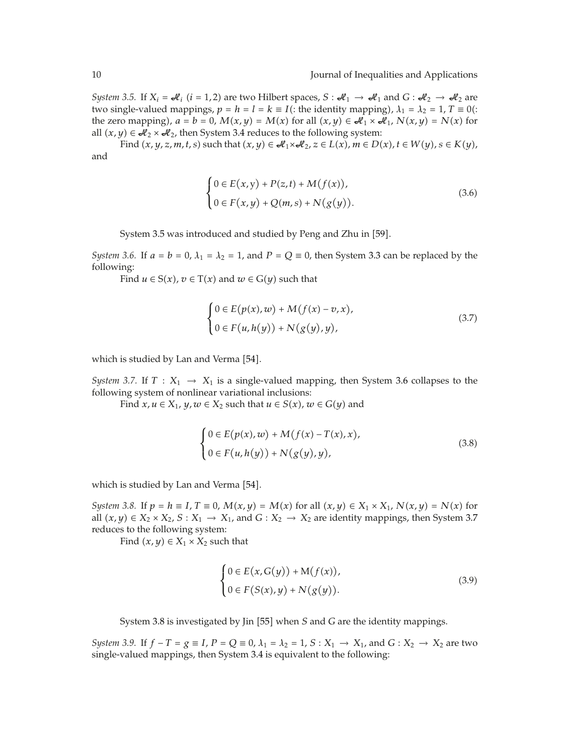*System 3.5.* If  $X_i = \mathcal{H}_i$  ( $i = 1, 2$ ) are two Hilbert spaces,  $S : \mathcal{H}_1 \to \mathcal{H}_1$  and  $G : \mathcal{H}_2 \to \mathcal{H}_2$  are two single-valued mappings,  $p = h = l = k \equiv I$  (: the identity mapping),  $\lambda_1 = \lambda_2 = 1$ ,  $T \equiv 0$  (: the zero mapping),  $a = b = 0$ ,  $M(x, y) = M(x)$  for all  $(x, y) \in \mathcal{A}_1 \times \mathcal{A}_1$ ,  $N(x, y) = N(x)$  for all  $(x, y) \in \mathcal{A}_2 \times \mathcal{A}_2$ , then System 3.4 reduces to the following system:

Find  $(x, y, z, m, t, s)$  such that  $(x, y) \in \mathcal{A}_1 \times \mathcal{A}_2$ ,  $z \in L(x)$ ,  $m \in D(x)$ ,  $t \in W(y)$ ,  $s \in K(y)$ , and

$$
\begin{cases} 0 \in E(x, y) + P(z, t) + M(f(x)), \\ 0 \in F(x, y) + Q(m, s) + N(g(y)). \end{cases}
$$
 (3.6)

System 3.5 was introduced and studied by Peng and Zhu in [59].

*System 3.6.* If  $a = b = 0$ ,  $\lambda_1 = \lambda_2 = 1$ , and  $P = Q \equiv 0$ , then System 3.3 can be replaced by the following:

Find  $u \in S(x)$ ,  $v \in T(x)$  and  $w \in G(y)$  such that

$$
\begin{cases} 0 \in E(p(x), w) + M(f(x) - v, x), \\ 0 \in F(u, h(y)) + N(g(y), y), \end{cases}
$$
\n(3.7)

which is studied by Lan and Verma [54].

*System 3.7.* If  $T : X_1 \rightarrow X_1$  is a single-valued mapping, then System 3.6 collapses to the following system of nonlinear variational inclusions:

Find  $x, u \in X_1$ ,  $y, w \in X_2$  such that  $u \in S(x)$ ,  $w \in G(y)$  and

$$
\begin{cases} 0 \in E(p(x), w) + M(f(x) - T(x), x), \\ 0 \in F(u, h(y)) + N(g(y), y), \end{cases}
$$
\n(3.8)

which is studied by Lan and Verma [54].

*System 3.8.* If  $p = h \equiv I$ ,  $T \equiv 0$ ,  $M(x, y) = M(x)$  for all  $(x, y) \in X_1 \times X_1$ ,  $N(x, y) = N(x)$  for all  $(x, y) \in X_2 \times X_2$ ,  $S: X_1 \to X_1$ , and  $G: X_2 \to X_2$  are identity mappings, then System 3.7 reduces to the following system:

Find  $(x, y) \in X_1 \times X_2$  such that

$$
\begin{cases} 0 \in E(x, G(y)) + M(f(x)), \\ 0 \in F(S(x), y) + N(g(y)). \end{cases}
$$
\n
$$
(3.9)
$$

System 3.8 is investigated by Jin [55] when *S* and *G* are the identity mappings.

*System 3.9.* If  $f - T = g \equiv I$ ,  $P = Q \equiv 0$ ,  $\lambda_1 = \lambda_2 = 1$ ,  $S: X_1 \rightarrow X_1$ , and  $G: X_2 \rightarrow X_2$  are two single-valued mappings, then System 3.4 is equivalent to the following: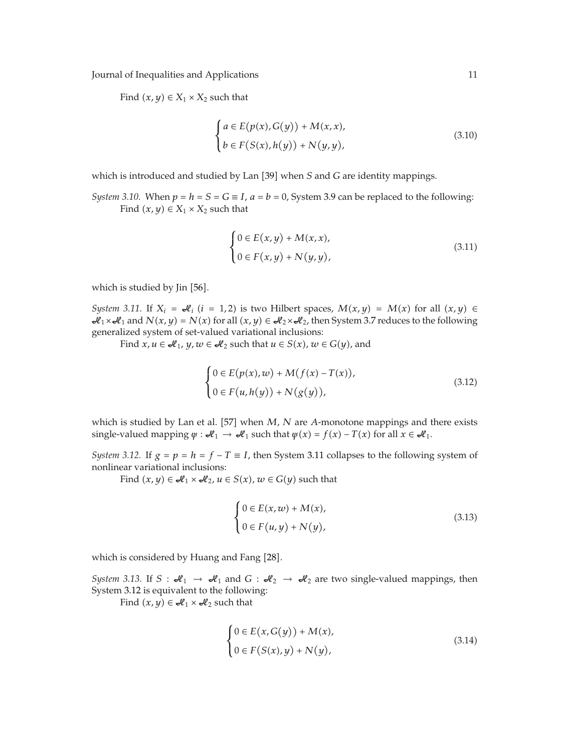Find  $(x, y) \in X_1 \times X_2$  such that

$$
\begin{cases}\na \in E(p(x), G(y)) + M(x, x), \\
b \in F(S(x), h(y)) + N(y, y),\n\end{cases}
$$
\n(3.10)

which is introduced and studied by Lan [39] when *S* and *G* are identity mappings.

*System 3.10.* When  $p = h = S = G \equiv I$ ,  $a = b = 0$ , System 3.9 can be replaced to the following: Find  $(x, y) \in X_1 \times X_2$  such that

$$
\begin{cases} 0 \in E(x, y) + M(x, x), \\ 0 \in F(x, y) + N(y, y), \end{cases}
$$
\n(3.11)

which is studied by Jin [56].

*System 3.11.* If  $X_i = \mathcal{A}_i$  ( $i = 1, 2$ ) is two Hilbert spaces,  $M(x, y) = M(x)$  for all  $(x, y) \in$  $\mathcal{A}_1 \times \mathcal{A}_1$  and  $N(x, y) = N(x)$  for all  $(x, y) \in \mathcal{A}_2 \times \mathcal{A}_2$ , then System 3.7 reduces to the following generalized system of set-valued variational inclusions:

Find  $x, u \in \mathcal{A}_1$ ,  $y, w \in \mathcal{A}_2$  such that  $u \in S(x)$ ,  $w \in G(y)$ , and

$$
\begin{cases} 0 \in E(p(x), w) + M(f(x) - T(x)), \\ 0 \in F(u, h(y)) + N(g(y)), \end{cases}
$$
\n
$$
(3.12)
$$

which is studied by Lan et al. [57] when *M*, *N* are *A*-monotone mappings and there exists single-valued mapping  $\psi : \mathcal{H}_1 \to \mathcal{H}_1$  such that  $\psi(x) = f(x) - T(x)$  for all  $x \in \mathcal{H}_1$ .

*System 3.12.* If  $g = p = h = f - T \equiv I$ , then System 3.11 collapses to the following system of nonlinear variational inclusions:

Find  $(x, y) \in \mathcal{A}_1 \times \mathcal{A}_2$ ,  $u \in S(x)$ ,  $w \in G(y)$  such that

$$
\begin{cases} 0 \in E(x, w) + M(x), \\ 0 \in F(u, y) + N(y), \end{cases}
$$
\n(3.13)

which is considered by Huang and Fang [28].

*System 3.13.* If  $S : \mathcal{A}_1 \to \mathcal{A}_1$  and  $G : \mathcal{A}_2 \to \mathcal{A}_2$  are two single-valued mappings, then System 3.12 is equivalent to the following:

Find  $(x, y) \in \mathcal{A}_1 \times \mathcal{A}_2$  such that

$$
\begin{cases} 0 \in E(x, G(y)) + M(x), \\ 0 \in F(S(x), y) + N(y), \end{cases}
$$
\n(3.14)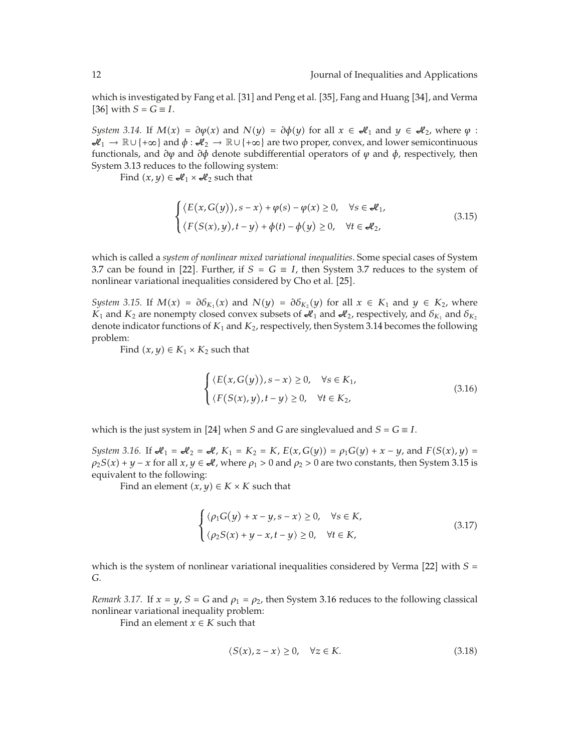which is investigated by Fang et al. [31] and Peng et al. [35], Fang and Huang [34], and Verma  $[36]$  with  $S = G \equiv I$ .

*System 3.14.* If  $M(x) = \partial \phi(x)$  and  $N(y) = \partial \phi(y)$  for all  $x \in \mathcal{A}_1$  and  $y \in \mathcal{A}_2$ , where  $\phi$ :  $\mathcal{H}_1 \to \mathbb{R} \cup \{+\infty\}$  and  $\phi : \mathcal{H}_2 \to \mathbb{R} \cup \{+\infty\}$  are two proper, convex, and lower semicontinuous functionals, and *∂ϕ* and *∂φ* denote subdifferential operators of *ϕ* and *φ*, respectively, then System 3.13 reduces to the following system:

Find  $(x, y) \in \mathcal{A}_1 \times \mathcal{A}_2$  such that

$$
\begin{cases} \langle E(x, G(y)), s - x \rangle + \varphi(s) - \varphi(x) \ge 0, & \forall s \in \mathcal{A}_1, \\ \langle F(S(x), y), t - y \rangle + \varphi(t) - \varphi(y) \ge 0, & \forall t \in \mathcal{A}_2, \end{cases}
$$
(3.15)

which is called a *system of nonlinear mixed variational inequalities*. Some special cases of System 3.7 can be found in [22]. Further, if  $S = G \equiv I$ , then System 3.7 reduces to the system of nonlinear variational inequalities considered by Cho et al. [25].

*System 3.15.* If  $M(x) = \partial \delta_{K_1}(x)$  and  $N(y) = \partial \delta_{K_2}(y)$  for all  $x \in K_1$  and  $y \in K_2$ , where  $K_1$  and  $K_2$  are nonempty closed convex subsets of  $\mathcal{A}_1$  and  $\mathcal{A}_2$ , respectively, and  $\delta_{K_1}$  and  $\delta_{K_2}$ denote indicator functions of *K*<sup>1</sup> and *K*2, respectively, then System 3.14 becomes the following problem:

Find  $(x, y) \in K_1 \times K_2$  such that

$$
\begin{cases} \langle E(x, G(y)), s - x \rangle \ge 0, & \forall s \in K_1, \\ \langle F(S(x), y), t - y \rangle \ge 0, & \forall t \in K_2, \end{cases}
$$
\n(3.16)

which is the just system in [24] when *S* and *G* are singlevalued and  $S = G \equiv I$ .

*System 3.16.* If  $\mathcal{A}_1 = \mathcal{A}_2 = \mathcal{A}$ ,  $K_1 = K_2 = K$ ,  $E(x, G(y)) = \rho_1 G(y) + x - y$ , and  $F(S(x), y) =$  $\rho_2 S(x) + y - x$  for all  $x, y \in \mathcal{A}$ , where  $\rho_1 > 0$  and  $\rho_2 > 0$  are two constants, then System 3.15 is equivalent to the following:

Find an element  $(x, y) \in K \times K$  such that

$$
\begin{cases} \langle \rho_1 G(y) + x - y, s - x \rangle \ge 0, & \forall s \in K, \\ \langle \rho_2 S(x) + y - x, t - y \rangle \ge 0, & \forall t \in K, \end{cases}
$$
 (3.17)

which is the system of nonlinear variational inequalities considered by Verma [22] with  $S =$ *G*.

*Remark 3.17.* If  $x = y$ ,  $S = G$  and  $\rho_1 = \rho_2$ , then System 3.16 reduces to the following classical nonlinear variational inequality problem:

Find an element  $x \in K$  such that

$$
\langle S(x), z - x \rangle \ge 0, \quad \forall z \in K. \tag{3.18}
$$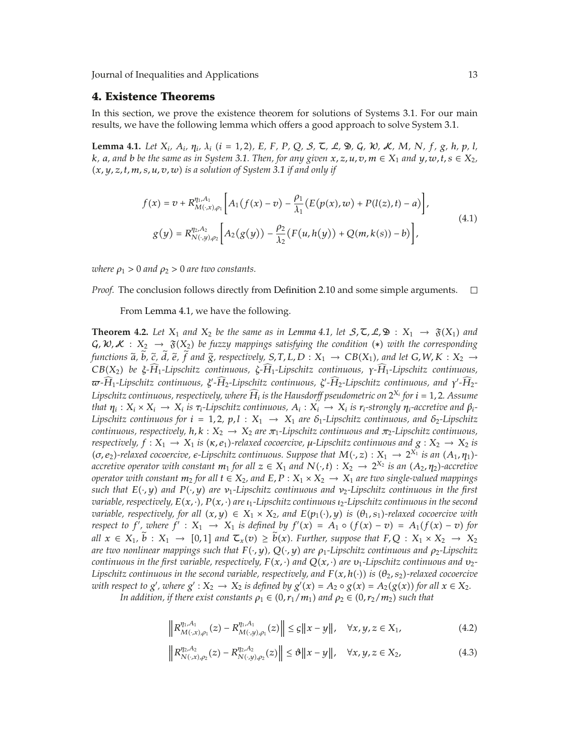#### **4. Existence Theorems**

In this section, we prove the existence theorem for solutions of Systems 3.1. For our main results, we have the following lemma which offers a good approach to solve System 3.1.

**Lemma 4.1.** Let  $X_i$ ,  $A_i$ ,  $\eta_i$ ,  $\lambda_i$  ( $i = 1, 2$ ), E, F, P, Q, S,  $\zeta$ , L,  $\mathfrak{D}$ , G,  $\mathcal{W}$ , K, M, N, f, g, h, p, l, *k*, *a*, and *b be the same as in System* 3.1. Then, for any given  $x, z, u, v, m \in X_1$  and  $y, w, t, s \in X_2$ , -*x, y, z, t, m, s, u, v, w is a solution of System 3.1 if and only if*

$$
f(x) = v + R_{M(\cdot,x),\rho_1}^{\eta_1, A_1} \left[ A_1(f(x) - v) - \frac{\rho_1}{\lambda_1} (E(p(x), w) + P(l(z), t) - a) \right],
$$
  
\n
$$
g(y) = R_{N(\cdot,y),\rho_2}^{\eta_2, A_2} \left[ A_2(g(y)) - \frac{\rho_2}{\lambda_2} (F(u, h(y)) + Q(m, k(s)) - b) \right],
$$
\n(4.1)

*where*  $\rho_1 > 0$  *and*  $\rho_2 > 0$  *are two constants.* 

*Proof.* The conclusion follows directly from Definition 2.10 and some simple arguments.  $\Box$ 

From Lemma 4.1, we have the following.

**Theorem 4.2.** Let  $X_1$  and  $X_2$  be the same as in Lemma 4.1, let  $S, \mathcal{L}, \mathcal{L}, \mathcal{D}$  :  $X_1 \rightarrow \mathfrak{F}(X_1)$  and  $\mathcal{G}, \mathcal{W}, \mathcal{K}$  :  $X_2 \to \mathfrak{F}(X_2)$  be fuzzy mappings satisfying the condition  $(*)$  with the corresponding functions  $\widetilde{a}$ , b,  $\widetilde{c}$ , d,  $\widetilde{e}$ ,  $f$  and  $\widetilde{g}$ , respectively,  $S, T, L, D : X_1 \to CB(X_1)$ , and let  $G, W, K : X_2 \to CB(X_1)$  be a  $\widehat{H}$ , Lineality, equitions on  $\widehat{H}$ , Lineality, equitions on  $\widehat{H}$ *CB*-*X*2 *be ξ-H* <sup>1</sup>*-Lipschitz continuous, <sup>ζ</sup>-<sup>H</sup>* <sup>1</sup>*-Lipschitz continuous, <sup>γ</sup>-<sup>H</sup>* <sup>1</sup>*-Lipschitz continuous, -H* <sup>1</sup>*-Lipschitz continuous, <sup>ξ</sup> -H* <sup>2</sup>*-Lipschitz continuous, <sup>ζ</sup> -H* <sup>2</sup>*-Lipschitz continuous, and <sup>γ</sup> -H* <sup>2</sup>*- Lipschitz continuous, respectively, where H <sup>i</sup> is the Hausdorff pseudometric on* <sup>2</sup>*Xi for <sup>i</sup>* <sup>1</sup>*,* <sup>2</sup>*. Assume* that  $\eta_i: X_i \times X_i \to X_i$  is  $\tau_i$ -Lipschitz continuous,  $A_i: X_i \to X_i$  is  $r_i$ -strongly  $\eta_i$ -accretive and  $\beta_i$ -*Lipschitz continuous for*  $i = 1, 2, p, l : X_1 \rightarrow X_1$  *are*  $\delta_1$ -*Lipschitz continuous, and*  $\delta_2$ -*Lipschitz continuous, respectively, h, k* :  $X_2 \rightarrow X_2$  *are*  $\pi_1$ *-Lipschitz continuous and*  $\pi_2$ *-Lipschitz continuous,*  $f: X_1 \to X_1$  *is*  $(\kappa, e_1)$ *-relaxed cocoercive,*  $\mu$ *-Lipschitz continuous and*  $g: X_2 \to X_2$  *is*  $(\sigma, e_2)$ -relaxed cocoercive,  $e$ -Lipschitz continuous. Suppose that  $M(\cdot, z): X_1 \to 2^{X_1}$  is an  $(A_1, \eta_1)$ *accretive operator with constant*  $m_1$  *for all*  $z \in X_1$  *and*  $N(\cdot, t) : X_2 \to 2^{X_2}$  *is an*  $(A_2, \eta_2)$ *-accretive operator with constant*  $m_2$  *for all*  $t \in X_2$ *, and*  $E, P: X_1 \times X_2 \rightarrow X_1$  *are two single-valued mappings such that E*-·*, y and P*-·*, y are ν*1*-Lipschitz continuous and ν*2*-Lipschitz continuous in the first variable, respectively, E*-*x,* ·*, P*-*x,* · *are ι*1*-Lipschitz continuous ι*2*-Lipschitz continuous in the second variable, respectively, for all*  $(x, y) \in X_1 \times X_2$ *, and*  $E(p_1(\cdot), y)$  *is*  $(\theta_1, s_1)$ -relaxed cocoercive with *respect to f'*, where  $f' : X_1 \rightarrow X_1$  *is defined by*  $f'(x) = A_1 \circ (f(x) - v) = A_1(f(x) - v)$  for  $all \ x \in X_1, b: X_1 \to [0,1] \ and \ \mathcal{L}_x(v) \geq b(x).$  Further, suppose that  $F, Q: X_1 \times X_2 \to X_2$ *are two nonlinear mappings such that F*-·*, y, Q*-·*, y are ρ*1*-Lipschitz continuous and ρ*2*-Lipschitz*  $c$  *continuous in the first variable, respectively,*  $F(x, \cdot)$  *and*  $Q(x, \cdot)$  *are*  $v_1$ *-Lipschitz continuous and*  $v_2$ *-* $L$ ipschitz continuous in the second variable, respectively, and  $F(x, h(\cdot))$  is  $(\theta_2, s_2)$ -relaxed cocoercive with respect to  $g'$ , where  $g': X_2 \to X_2$  is defined by  $g'(x) = A_2 \circ g(x) = A_2(g(x))$  for all  $x \in X_2$ .

*In addition, if there exist constants*  $\rho_1 \in (0, r_1/m_1)$  *and*  $\rho_2 \in (0, r_2/m_2)$  *such that* 

$$
\left\| R_{M(\cdot,x),\rho_1}^{\eta_1, A_1}(z) - R_{M(\cdot,y),\rho_1}^{\eta_1, A_1}(z) \right\| \leq \varepsilon \| x - y \|, \quad \forall x, y, z \in X_1,
$$
\n(4.2)

$$
\left\| R_{N(\cdot,x),\rho_2}^{\eta_2, A_2}(z) - R_{N(\cdot,y),\rho_2}^{\eta_2, A_2}(z) \right\| \le \vartheta \| x - y \|, \quad \forall x, y, z \in X_2,
$$
\n(4.3)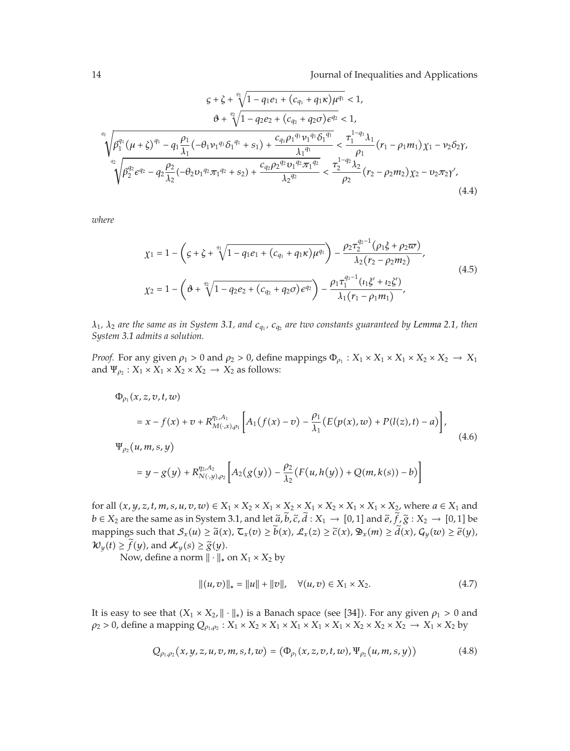$$
G + \zeta + \sqrt[4]{1 - q_1 e_1 + (c_{q_1} + q_1 \kappa) \mu^{q_1}} < 1,
$$
\n
$$
\vartheta + \sqrt[2]{1 - q_2 e_2 + (c_{q_2} + q_2 \sigma) e^{q_2}} < 1,
$$
\n
$$
\sqrt{\beta_1^{q_1} (\mu + \zeta)^{q_1} - q_1 \frac{\rho_1}{\lambda_1} (-\theta_1 \nu_1^{q_1} \delta_1^{q_1} + s_1) + \frac{c_{q_1} \rho_1^{q_1} \nu_1^{q_1} \delta_1^{q_1}}{\lambda_1^{q_1}}} < \frac{\tau_1^{1 - q_1} \lambda_1}{\rho_1} (r_1 - \rho_1 m_1) \chi_1 - \nu_2 \delta_2 \gamma,
$$
\n
$$
\sqrt{\beta_2^{q_2} e^{q_2} - q_2 \frac{\rho_2}{\lambda_2} (-\theta_2 \nu_1^{q_2} \pi_1^{q_2} + s_2) + \frac{c_{q_2} \rho_2^{q_2} \nu_1^{q_2} \pi_1^{q_2}}{\lambda_2^{q_2}}} < \frac{\tau_2^{1 - q_2} \lambda_2}{\rho_2} (r_2 - \rho_2 m_2) \chi_2 - \nu_2 \pi_2 \gamma',
$$
\n(4.4)

*where*

$$
\chi_1 = 1 - \left( \varsigma + \zeta + \sqrt[4]{1 - q_1 e_1 + (c_{q_1} + q_1 \kappa) \mu^{q_1}} \right) - \frac{\rho_2 \tau_2^{q_2 - 1} (\rho_1 \xi + \rho_2 \varpi)}{\lambda_2 (r_2 - \rho_2 m_2)},
$$
\n
$$
\chi_2 = 1 - \left( \vartheta + \sqrt[4]{1 - q_2 e_2 + (c_{q_2} + q_2 \sigma) \epsilon^{q_2}} \right) - \frac{\rho_1 \tau_1^{q_1 - 1} (t_1 \xi' + t_2 \zeta')}{\lambda_1 (r_1 - \rho_1 m_1)},
$$
\n(4.5)

*λ*1*, λ*<sup>2</sup> *are the same as in System 3.1, and cq*<sup>1</sup> *, cq*<sup>2</sup> *are two constants guaranteed by Lemma 2.1, then System 3.1 admits a solution.*

*Proof.* For any given  $\rho_1 > 0$  and  $\rho_2 > 0$ , define mappings  $\Phi_{\rho_1} : X_1 \times X_1 \times X_1 \times X_2 \times X_2 \to X_1$ and  $\Psi_{\rho_2}$ :  $X_1 \times X_1 \times X_2 \times X_2 \to X_2$  as follows:

$$
\Phi_{\rho_1}(x, z, v, t, w) \n= x - f(x) + v + R_{M(\cdot, x), \rho_1}^{\eta_1, A_1} \Big[ A_1(f(x) - v) - \frac{\rho_1}{\lambda_1} (E(p(x), w) + P(l(z), t) - a) \Big],
$$
\n
$$
\Psi_{\rho_2}(u, m, s, y) \n= y - g(y) + R_{N(\cdot, y), \rho_2}^{\eta_2, A_2} \Big[ A_2(g(y)) - \frac{\rho_2}{\lambda_2} (F(u, h(y)) + Q(m, k(s)) - b) \Big]
$$
\n(4.6)

for all  $(x, y, z, t, m, s, u, v, w) \in X_1 \times X_2 \times X_1 \times X_2 \times X_1 \times X_2 \times X_1 \times X_2$ , where  $a \in X_1$  and *b* ∈ *X*<sub>2</sub> are the same as in System 3.1, and let  $\tilde{a}$ , *b*,  $\tilde{c}$ , *d* : *X*<sub>1</sub> → [0,1] and  $\tilde{e}$ ,  $f$ ,  $\tilde{g}$  :  $X_2 \rightarrow [0,1]$  be mappings such that  $S_x(u) \ge \tilde{a}(x)$ ,  $\mathcal{L}_x(v) \ge b(x)$ ,  $\mathcal{L}_x(z) \ge \tilde{c}(x)$ ,  $\mathfrak{D}_x(m) \ge d(x)$ ,  $G_y(w) \ge \tilde{e}(y)$ ,<br>24. (1)  $\ge \tilde{c}(x)$ ,  $\longrightarrow$   $\mathcal{L}_x(x) \ge \tilde{c}(x)$  $\mathcal{W}_y(t) \ge f(y)$ , and  $\mathcal{K}_y(s) \ge \tilde{g}(y)$ .<br>Now define a norm  $\|\cdot\|$ .

Now, define a norm  $\|\cdot\|_*$  on  $X_1 \times X_2$  by

$$
||(u,v)||_* = ||u|| + ||v||, \quad \forall (u,v) \in X_1 \times X_2.
$$
 (4.7)

It is easy to see that  $(X_1 \times X_2, \|\cdot\|_*)$  is a Banach space (see [34]). For any given  $\rho_1 > 0$  and  $\rho_2$  > 0, define a mapping  $Q_{\rho_1,\rho_2}: X_1 \times X_2 \times X_1 \times X_1 \times X_1 \times X_2 \times X_2 \times X_2 \times X_2 \to X_1 \times X_2$  by

$$
Q_{\rho_1, \rho_2}(x, y, z, u, v, m, s, t, w) = (\Phi_{\rho_1}(x, z, v, t, w), \Psi_{\rho_2}(u, m, s, y))
$$
(4.8)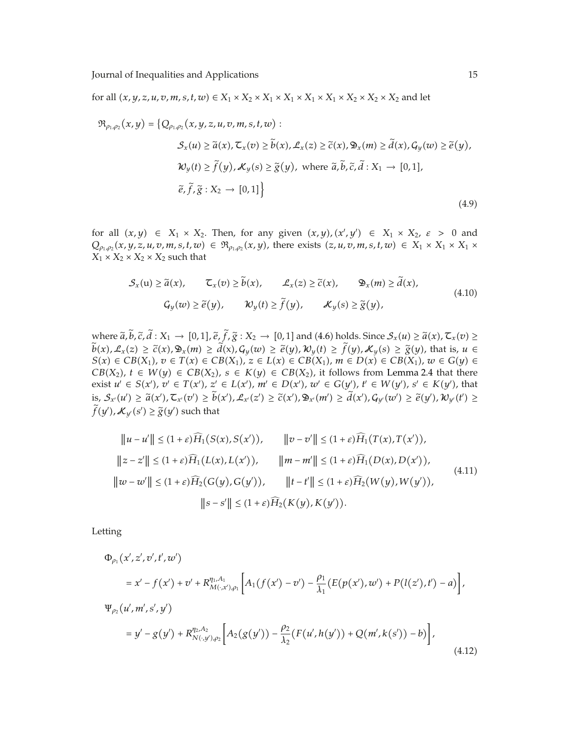for all  $(x, y, z, u, v, m, s, t, w) \in X_1 \times X_2 \times X_1 \times X_1 \times X_1 \times X_1 \times X_2 \times X_2 \times X_2$  and let

$$
\mathfrak{R}_{\rho_1,\rho_2}(x,y) = \{Q_{\rho_1,\rho_2}(x,y,z,u,v,m,s,t,w) : \mathcal{S}_x(u) \ge \tilde{a}(x), \mathcal{T}_x(v) \ge \tilde{b}(x), \mathcal{L}_x(z) \ge \tilde{c}(x), \mathfrak{D}_x(m) \ge \tilde{d}(x), G_y(w) \ge \tilde{e}(y), \mathcal{W}_y(t) \ge \tilde{f}(y), \mathcal{K}_y(s) \ge \tilde{g}(y), \text{ where } \tilde{a}, \tilde{b}, \tilde{c}, \tilde{d} : X_1 \to [0,1], \tilde{e}, \tilde{f}, \tilde{g} : X_2 \to [0,1] \}
$$
\n(4.9)

for all  $(x, y) \in X_1 \times X_2$ . Then, for any given  $(x, y)$ ,  $(x', y') \in X_1 \times X_2$ ,  $\varepsilon > 0$  and  $Q_{\rho_1,\rho_2}(x,y,z,u,v,m,s,t,w) \in \mathfrak{R}_{\rho_1,\rho_2}(x,y)$ , there exists  $(z,u,v,m,s,t,w) \in X_1 \times X_1 \times X_1 \times$  $X_1 \times X_2 \times X_2 \times X_2$  such that

$$
\mathcal{S}_x(u) \ge \tilde{a}(x), \qquad \mathcal{L}_x(v) \ge \tilde{b}(x), \qquad \mathcal{L}_x(z) \ge \tilde{c}(x), \qquad \mathfrak{D}_x(m) \ge \tilde{d}(x),
$$
  

$$
\mathcal{G}_y(w) \ge \tilde{e}(y), \qquad \mathcal{W}_y(t) \ge \tilde{f}(y), \qquad \mathcal{K}_y(s) \ge \tilde{g}(y), \tag{4.10}
$$

where  $\tilde{a}$ ,  $b$ ,  $\tilde{c}$ ,  $d: X_1 \to [0,1]$ ,  $\tilde{e}$ ,  $f$ ,  $\tilde{g}: X_2 \to [0,1]$  and (4.6) holds. Since  $S_x(u) \geq \tilde{a}(x)$ ,  $\mathcal{F}_x(v) \geq \tilde{b}(x)$ ,  $\mathcal{F}_x(v) \geq \tilde{b}(x)$ ,  $\mathcal{F}_y(v) \geq \tilde{b}(x)$ ,  $\mathcal{F}_z(v) \geq \tilde{b}(x)$ , th  $b(x), \mathcal{L}_x(z) \ge \tilde{c}(x), \mathfrak{D}_x(m) \ge d(x), G_y(w) \ge \tilde{e}(y), \mathcal{W}_y(t) \ge f(y), \mathcal{K}_y(s) \ge \tilde{g}(y),$  that is,  $u \in S(x) \subset CR(X)$ ,  $\tau \subset T(x) \subset CR(X)$ ,  $\tau \subset L(x) \subset CR(X)$ ,  $m \subset D(x) \subset CR(X)$ ,  $zu \subset C(y) \subset CR(Y)$  $S(x) \in CB(X_1), v \in T(x) \in CB(X_1), z \in L(x) \in CB(X_1), m \in D(x) \in CB(X_1), w \in G(y) \in$ *CB*( $X_2$ ), *t* ∈ *W*( $y$ ) ∈ *CB*( $X_2$ ), *s* ∈ *K*( $y$ ) ∈ *CB*( $X_2$ ), it follows from Lemma 2.4 that there exist  $u' \in S(x')$ ,  $v' \in T(x')$ ,  $z' \in L(x')$ ,  $m' \in D(x')$ ,  $w' \in G(y')$ ,  $t' \in W(y')$ ,  $s' \in K(y')$ , that  $\text{is, } S_{x'}(u') \geq \widetilde{a}(x'), \mathcal{I}_{x'}(v') \geq b(x'), \mathcal{L}_{x'}(z') \geq \widetilde{c}(x'), \mathfrak{D}_{x'}(m') \geq d(x'), \mathcal{G}_{y'}(w') \geq \widetilde{e}(y'), \mathcal{W}_{y'}(t') \geq \widetilde{c}(x')$  $f(y')$ ,  $\mathcal{K}_{y'}(s') \ge \widetilde{g}(y')$  such that

$$
||u - u'|| \le (1 + \varepsilon)\widehat{H}_1(S(x), S(x')), \qquad ||v - v'|| \le (1 + \varepsilon)\widehat{H}_1(T(x), T(x')),
$$
  
\n
$$
||z - z'|| \le (1 + \varepsilon)\widehat{H}_1(L(x), L(x')), \qquad ||m - m'|| \le (1 + \varepsilon)\widehat{H}_1(D(x), D(x')),
$$
  
\n
$$
||w - w'|| \le (1 + \varepsilon)\widehat{H}_2(G(y), G(y')), \qquad ||t - t'|| \le (1 + \varepsilon)\widehat{H}_2(W(y), W(y')),
$$
  
\n
$$
||s - s'|| \le (1 + \varepsilon)\widehat{H}_2(K(y), K(y')).
$$
  
\n(4.11)

Letting

$$
\Phi_{\rho_1}(x', z', v', t', w')
$$
\n
$$
= x' - f(x') + v' + R_{M(\cdot, x'), \rho_1}^{\eta_1, A_1} \Big[ A_1(f(x') - v') - \frac{\rho_1}{\lambda_1} (E(p(x'), w') + P(l(z'), t') - a) \Big],
$$
\n
$$
\Psi_{\rho_2}(u', m', s', y')
$$
\n
$$
= y' - g(y') + R_{N(\cdot, y'), \rho_2}^{\eta_2, A_2} \Big[ A_2(g(y')) - \frac{\rho_2}{\lambda_2} (F(u', h(y')) + Q(m', k(s')) - b) \Big],
$$
\n(4.12)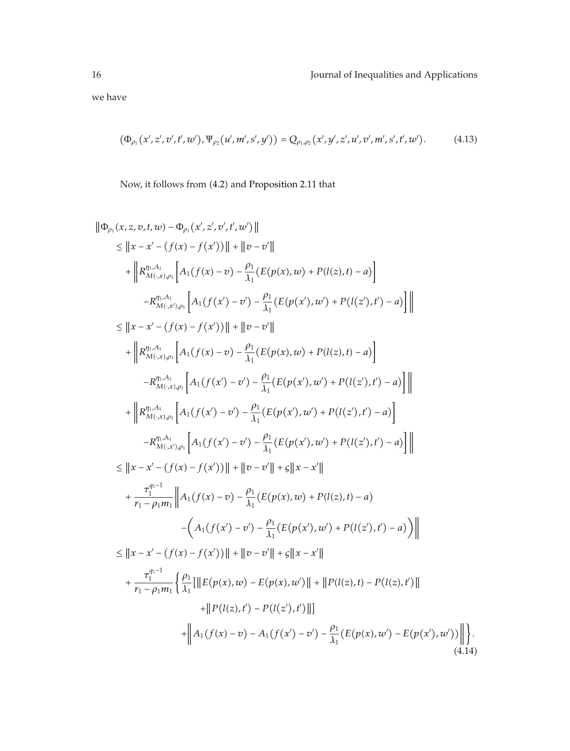we have

$$
(\Phi_{\rho_1}(x',z',v',t',w'),\Psi_{\rho_2}(u',m',s',y')) = Q_{\rho_1,\rho_2}(x',y',z',u',v',m',s',t',w').
$$
 (4.13)

Now, it follows from (4.2) and Proposition 2.11 that

$$
\|\Phi_{\rho_{1}}(x,z,v,t,w) - \Phi_{\rho_{1}}(x',z',v',t',w')\| \n\leq \|x - x' - (f(x) - f(x'))\| + \|v - v'\| \n+ \|R_{M(x,y,\rho_{1})}^{n,A_1} \Big[ A_1(f(x) - v) - \frac{\rho_1}{A_1} (E(p(x),w) + P(l(z),t) - a) \Big] \n- R_{M(x,y,\rho_{1})}^{n,A_1} \Big[ A_1(f(x') - v') - \frac{\rho_1}{A_1} (E(p(x'),w') + P(l(z'),t') - a) \Big] \Big\| \n\leq \|x - x' - (f(x) - f(x'))\| + \|v - v'\| \n+ \|R_{M(x,y,\rho_{1})}^{n,A_1} \Big[ A_1(f(x) - v) - \frac{\rho_1}{A_1} (E(p(x),w) + P(l(z),t) - a) \Big] \n- R_{M(x,x),\rho_{1}}^{n,A_1} \Big[ A_1(f(x') - v') - \frac{\rho_1}{A_1} (E(p(x'),w') + P(l(z'),t') - a) \Big] \Big\| \n+ \|R_{M(x,x),\rho_{1}}^{n,A_1} \Big[ A_1(f(x') - v') - \frac{\rho_1}{A_1} (E(p(x'),w') + P(l(z'),t') - a) \Big] \Big\| \n- R_{M(x,x),\rho_{1}}^{n,A_1} \Big[ A_1(f(x') - v') - \frac{\rho_1}{A_1} (E(p(x'),w') + P(l(z'),t') - a) \Big] \Big\| \n\leq \|x - x' - (f(x) - f(x'))\| + \|v - v'\| + \varepsilon \|x - x'\| \n+ \frac{\tau_1^{q_1-1}}{\tau_1 - \rho_1 m_1} \|A_1(f(x) - v) - \frac{\rho_1}{\lambda_1} (E(p(x),w) + P(l(z),t) - a) \n- (A_1(f(x') - v') - \frac{\rho_1}{\lambda_1} (E(p(x),w') + P(l(z'),t') - a) ) \Big\| \n\leq \|x - x' - (f(x) - f(x'))\| + \|v - v'\| + \varepsilon \|x - x'\| \n+ \frac{\tau_1^{q_1-1}}{\tau_1 - \rho_1 m_1} \Big\{ \frac{\rho_1}{\lambda
$$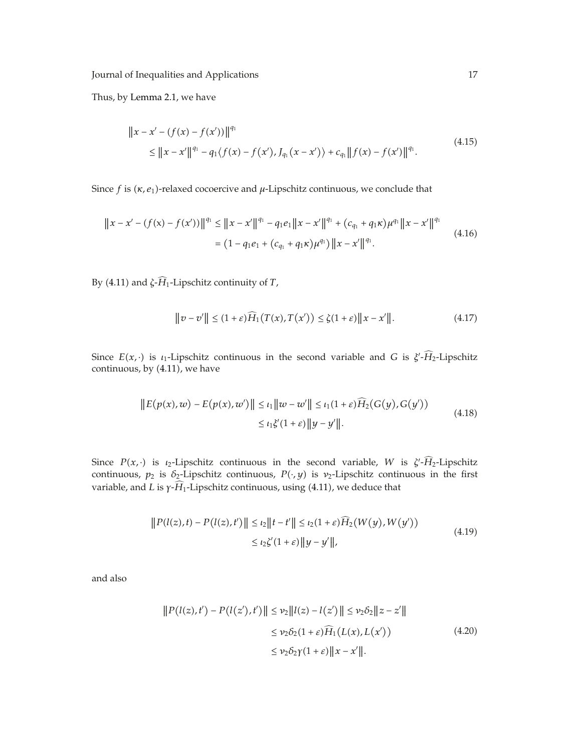Thus, by Lemma 2.1, we have

$$
||x - x' - (f(x) - f(x'))||^{q_1}
$$
  
\n
$$
\le ||x - x'||^{q_1} - q_1 \langle f(x) - f(x') \rangle J_{q_1}(x - x') \rangle + c_{q_1} ||f(x) - f(x')||^{q_1}.
$$
\n(4.15)

Since *f* is (κ, *e*<sub>1</sub>)-relaxed cocoercive and *μ*-Lipschitz continuous, we conclude that

$$
||x - x' - (f(x) - f(x'))||^{q_1} \le ||x - x'||^{q_1} - q_1 e_1||x - x'||^{q_1} + (c_{q_1} + q_1 \kappa)\mu^{q_1}||x - x'||^{q_1}
$$
  
= 
$$
(1 - q_1 e_1 + (c_{q_1} + q_1 \kappa)\mu^{q_1})||x - x'||^{q_1}.
$$
 (4.16)

By (4.11) and  $\zeta$ - $H_1$ -Lipschitz continuity of *T*,

$$
\|v - v'\| \le (1 + \varepsilon)\widehat{H}_1(T(x), T(x')) \le \zeta(1 + \varepsilon) \|x - x'\|.
$$
 (4.17)

Since  $E(x, \cdot)$  is  $\iota_1$ -Lipschitz continuous in the second variable and *G* is  $\xi'$ - $H_2$ -Lipschitz continuous, by  $(4.11)$ , we have

$$
||E(p(x), w) - E(p(x), w')|| \le \iota_1 ||w - w'|| \le \iota_1 (1 + \varepsilon) \widehat{H}_2(G(y), G(y'))
$$
  
 
$$
\le \iota_1 \xi'(1 + \varepsilon) ||y - y'||. \tag{4.18}
$$

Since  $P(x, \cdot)$  is *ι*<sub>2</sub>-Lipschitz continuous in the second variable, *W* is  $\zeta'$ - $H_2$ -Lipschitz continuous,  $p_2$  is  $\delta_2$ -Lipschitz continuous,  $P(\cdot, y)$  is  $\nu_2$ -Lipschitz continuous in the first variable, and *L* is *γ-H*<sub>1</sub>-Lipschitz continuous, using (4.11), we deduce that

$$
||P(l(z),t) - P(l(z),t')|| \leq \iota_2 ||t - t'|| \leq \iota_2 (1+\varepsilon) \widehat{H}_2(W(y), W(y'))
$$
  
 
$$
\leq \iota_2 \zeta'(1+\varepsilon) ||y - y'||,
$$
 (4.19)

and also

$$
||P(l(z),t') - P(l(z'),t')|| \leq \nu_2 ||l(z) - l(z')|| \leq \nu_2 \delta_2 ||z - z'||
$$
  

$$
\leq \nu_2 \delta_2 (1+\varepsilon) \widehat{H}_1(L(x),L(x'))
$$
  

$$
\leq \nu_2 \delta_2 \gamma (1+\varepsilon) ||x - x'||. \tag{4.20}
$$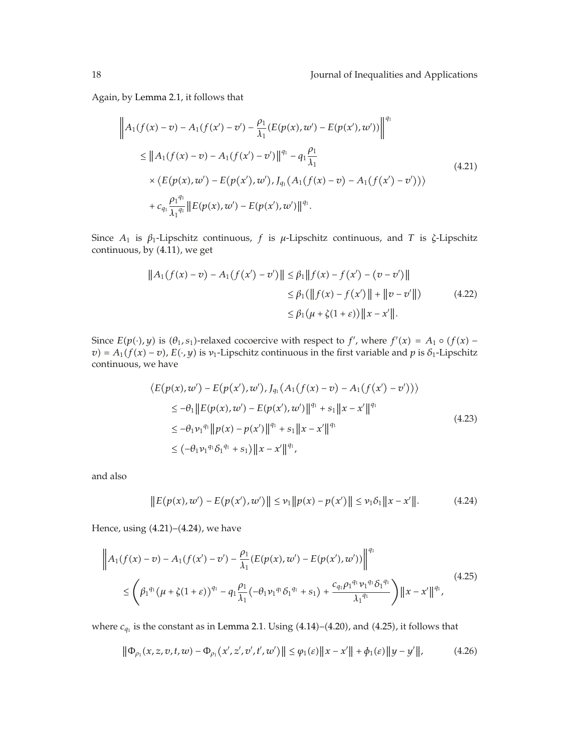Again, by Lemma 2.1, it follows that

$$
\|A_1(f(x) - v) - A_1(f(x') - v') - \frac{\rho_1}{\lambda_1} (E(p(x), w') - E(p(x'), w'))\|^{q_1}
$$
  
\n
$$
\leq \|A_1(f(x) - v) - A_1(f(x') - v')\|^{q_1} - q_1 \frac{\rho_1}{\lambda_1}
$$
  
\n
$$
\times \langle E(p(x), w') - E(p(x'), w'), J_{q_1}(A_1(f(x) - v) - A_1(f(x') - v'))\rangle
$$
  
\n
$$
+ c_{q_1} \frac{\rho_1^{q_1}}{\lambda_1^{q_1}} \|E(p(x), w') - E(p(x'), w')\|^{q_1}.
$$
\n(4.21)

Since *A*<sup>1</sup> is *β*1-Lipschitz continuous, *f* is *μ*-Lipschitz continuous, and *T* is *ζ*-Lipschitz continuous, by  $(4.11)$ , we get

$$
||A_1(f(x) - v) - A_1(f(x') - v')|| \le \beta_1 ||f(x) - f(x') - (v - v')||
$$
  
\n
$$
\le \beta_1 (||f(x) - f(x')|| + ||v - v'||)
$$
  
\n
$$
\le \beta_1 (\mu + \zeta(1 + \varepsilon)) ||x - x'||. \tag{4.22}
$$

Since  $E(p(\cdot), y)$  is  $(\theta_1, s_1)$ -relaxed cocoercive with respect to *f'*, where  $f'(x) = A_1 \circ (f(x) - f'(x))$  $v = A_1(f(x) - v)$ ,  $E(\cdot, y)$  is  $v_1$ -Lipschitz continuous in the first variable and  $p$  is  $\delta_1$ -Lipschitz continuous, we have

$$
\langle E(p(x), w') - E(p(x'), w'), J_{q_1}(A_1(f(x) - v) - A_1(f(x') - v')) \rangle
$$
  
\n
$$
\leq -\theta_1 \| E(p(x), w') - E(p(x'), w') \|^{q_1} + s_1 \|x - x'\|^{q_1}
$$
  
\n
$$
\leq -\theta_1 \nu_1^{q_1} \| p(x) - p(x') \|^{q_1} + s_1 \|x - x'\|^{q_1}
$$
  
\n
$$
\leq (-\theta_1 \nu_1^{q_1} \delta_1^{q_1} + s_1) \|x - x'\|^{q_1},
$$
\n(4.23)

and also

$$
||E(p(x), w') - E(p(x'), w')|| \leq \nu_1 ||p(x) - p(x')|| \leq \nu_1 \delta_1 ||x - x'||. \tag{4.24}
$$

Hence, using (4.21)–(4.24), we have

$$
\|A_1(f(x) - v) - A_1(f(x') - v') - \frac{\rho_1}{\lambda_1} (E(p(x), w') - E(p(x'), w'))\|^{q_1}
$$
  

$$
\leq \left(\beta_1^{q_1} (\mu + \zeta(1+\varepsilon))^{q_1} - q_1 \frac{\rho_1}{\lambda_1} (-\theta_1 \nu_1^{q_1} \delta_1^{q_1} + s_1) + \frac{c_{q_1} \rho_1^{q_1} \nu_1^{q_1} \delta_1^{q_1}}{\lambda_1^{q_1}}\right) \|x - x'\|^{q_1},
$$
\n(4.25)

where  $c_{q_1}$  is the constant as in Lemma 2.1. Using  $(4.14)$ – $(4.20)$ , and  $(4.25)$ , it follows that

$$
\|\Phi_{\rho_1}(x,z,v,t,w) - \Phi_{\rho_1}(x',z',v',t',w')\| \le \varphi_1(\varepsilon) \|x - x'\| + \phi_1(\varepsilon) \|y - y'\|,\tag{4.26}
$$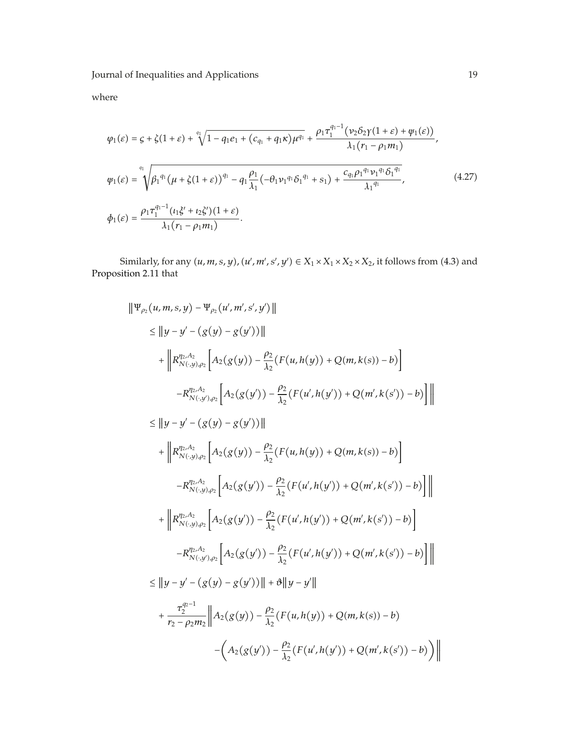where

$$
\varphi_{1}(\varepsilon) = \varsigma + \zeta(1+\varepsilon) + \sqrt[4]{1 - q_{1}e_{1} + (c_{q_{1}} + q_{1}\kappa)\mu^{q_{1}}} + \frac{\rho_{1}\tau_{1}^{q_{1}-1}(\nu_{2}\delta_{2}\gamma(1+\varepsilon) + \psi_{1}(\varepsilon))}{\lambda_{1}(\tau_{1} - \rho_{1}m_{1})},
$$
\n
$$
\psi_{1}(\varepsilon) = \sqrt{\beta_{1}^{q_{1}}(\mu + \zeta(1+\varepsilon))^{q_{1}} - q_{1}\frac{\rho_{1}}{\lambda_{1}}(-\theta_{1}\nu_{1}^{q_{1}}\delta_{1}^{q_{1}} + s_{1}) + \frac{c_{q_{1}}\rho_{1}^{q_{1}}\nu_{1}^{q_{1}}\delta_{1}^{q_{1}}}{\lambda_{1}^{q_{1}}}},
$$
\n
$$
\phi_{1}(\varepsilon) = \frac{\rho_{1}\tau_{1}^{q_{1}-1}(t_{1}\xi' + t_{2}\zeta')(1+\varepsilon)}{\lambda_{1}(\tau_{1} - \rho_{1}m_{1})}.
$$
\n(4.27)

Similarly, for any  $(u, m, s, y)$ ,  $(u', m', s', y') \in X_1 \times X_1 \times X_2 \times X_2$ , it follows from (4.3) and Proposition 2.11 that

$$
\| \Psi_{\rho_{2}}(u, m, s, y) - \Psi_{\rho_{2}}(u', m', s', y') \|
$$
\n
$$
\leq \| y - y' - (g(y) - g(y')) \|
$$
\n
$$
+ \| R_{N(\cdot, y), \rho_{2}}^{p_{2, A_{2}}} \Big[ A_{2}(g(y)) - \frac{\rho_{2}}{\lambda_{2}} (F(u, h(y)) + Q(m, k(s)) - b) \Big]
$$
\n
$$
- R_{N(\cdot, y), \rho_{2}}^{p_{2, A_{2}}} \Big[ A_{2}(g(y')) - \frac{\rho_{2}}{\lambda_{2}} (F(u', h(y')) + Q(m', k(s')) - b) \Big] \|
$$
\n
$$
\leq \| y - y' - (g(y) - g(y')) \|
$$
\n
$$
+ \| R_{N(\cdot, y), \rho_{2}}^{p_{2, A_{2}}} \Big[ A_{2}(g(y)) - \frac{\rho_{2}}{\lambda_{2}} (F(u, h(y)) + Q(m, k(s)) - b) \Big] +
$$
\n
$$
- R_{N(\cdot, y), \rho_{2}}^{p_{2, A_{2}}} \Big[ A_{2}(g(y')) - \frac{\rho_{2}}{\lambda_{2}} (F(u', h(y')) + Q(m', k(s')) - b) \Big] \|
$$
\n
$$
+ \| R_{N(\cdot, y), \rho_{2}}^{p_{2, A_{2}}} \Big[ A_{2}(g(y')) - \frac{\rho_{2}}{\lambda_{2}} (F(u', h(y')) + Q(m', k(s')) - b) \Big] \|
$$
\n
$$
- R_{N(\cdot, y), \rho_{2}}^{p_{2, A_{2}}} \Big[ A_{2}(g(y')) - \frac{\rho_{2}}{\lambda_{2}} (F(u', h(y')) + Q(m', k(s')) - b) \Big] \|
$$
\n
$$
\leq \| y - y' - (g(y) - g(y')) \| + \vartheta \| y - y' \|
$$
\n
$$
+ \frac{\tau_{2}^{q_{2}-1}}{\tau_{2}-\rho_{2}m_{2}} \| A_{2}(g(y)) - \frac{\rho_{2}}{\lambda_{2}} (F(u, h(y)) + Q(m, k(s)) - b) - (A_{2}(g(y')) - \frac{\rho_{2}}{\lambda_{2}} (F(u', h(y')) + Q(m', k(s')) - b) \Big) \|
$$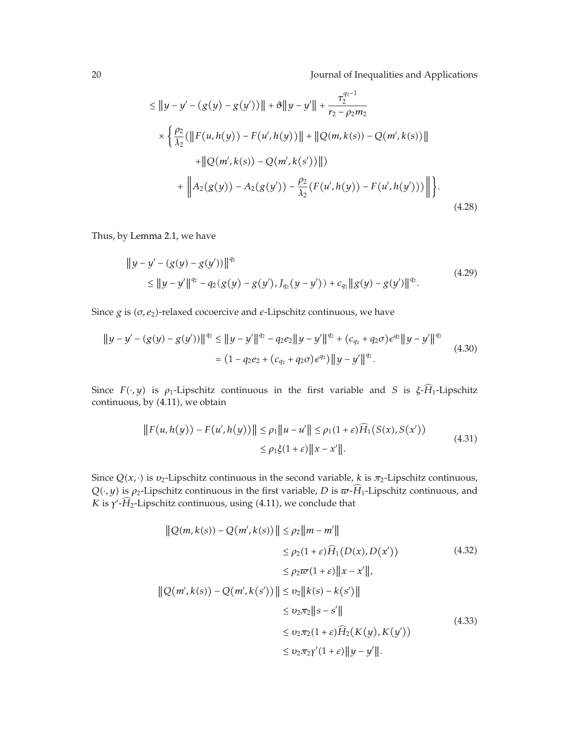$$
\leq ||y - y' - (g(y) - g(y'))|| + \vartheta ||y - y'|| + \frac{\tau_2^{q_2 - 1}}{r_2 - \rho_2 m_2}
$$
  
\n
$$
\times \left\{ \frac{\rho_2}{\lambda_2} (||F(u, h(y)) - F(u', h(y))|| + ||Q(m, k(s)) - Q(m', k(s))|| + ||Q(m', k(s)) - Q(m', k(s))|| + ||Q(m', k(s)) - Q(m', k(s'))|| \right\}
$$
  
\n
$$
+ \left\| A_2(g(y)) - A_2(g(y')) - \frac{\rho_2}{\lambda_2} (F(u', h(y)) - F(u', h(y'))) \right\| \right\}. \tag{4.28}
$$

Thus, by Lemma 2.1, we have

$$
||y - y' - (g(y) - g(y'))||^{q_2}
$$
  
\n
$$
\le ||y - y'||^{q_2} - q_2(g(y) - g(y'), J_{q_2}(y - y')) + c_{q_2}||g(y) - g(y')||^{q_2}.
$$
\n(4.29)

Since *g* is (*σ, e*<sub>2</sub>)-relaxed cocoercive and *ε*-Lipschitz continuous, we have

$$
||y - y' - (g(y) - g(y'))||^{q_2} \le ||y - y'||^{q_2} - q_2 e_2||y - y'||^{q_2} + (c_{q_2} + q_2 \sigma) e^{q_2}||y - y'||^{q_2}
$$
  
= 
$$
(1 - q_2 e_2 + (c_{q_2} + q_2 \sigma) e^{q_2}) ||y - y'||^{q_2}.
$$
 (4.30)

Since  $F(\cdot, y)$  is  $\rho_1$ -Lipschitz continuous in the first variable and *S* is  $\xi$ -*H*<sub>1</sub>-Lipschitz continuous, by  $(4.11)$ , we obtain

$$
||F(u,h(y)) - F(u',h(y))|| \le \rho_1 ||u - u'|| \le \rho_1(1+\varepsilon)\widehat{H}_1(S(x),S(x'))
$$
  
 
$$
\le \rho_1 \xi(1+\varepsilon) ||x - x'||. \tag{4.31}
$$

Since  $Q(x, \cdot)$  is  $v_2$ -Lipschitz continuous in the second variable,  $k$  is  $\pi_2$ -Lipschitz continuous,  $Q(\cdot, y)$  is  $\rho_2$ -Lipschitz continuous in the first variable, *D* is  $\varpi$ -*H*<sub>1</sub>-Lipschitz continuous, and *K* is  $γ'$ - $H_2$ -Lipschitz continuous, using  $(4.11)$ , we conclude that

$$
\|Q(m,k(s)) - Q(m',k(s))\| \le \rho_2 \|m - m'\|
$$
  
\n
$$
\le \rho_2(1+\varepsilon)\widehat{H}_1(D(x),D(x'))
$$
(4.32)  
\n
$$
\le \rho_2\varpi(1+\varepsilon)\|x - x'\|,
$$
  
\n
$$
\|Q(m',k(s)) - Q(m',k(s'))\| \le v_2 \|k(s) - k(s')\|
$$
  
\n
$$
\le v_2\pi_2 \|s - s'\|
$$
  
\n
$$
\le v_2\pi_2(1+\varepsilon)\widehat{H}_2(K(y),K(y'))
$$
  
\n
$$
\le v_2\pi_2\gamma'(1+\varepsilon)\|y - y'\|.
$$
(4.33)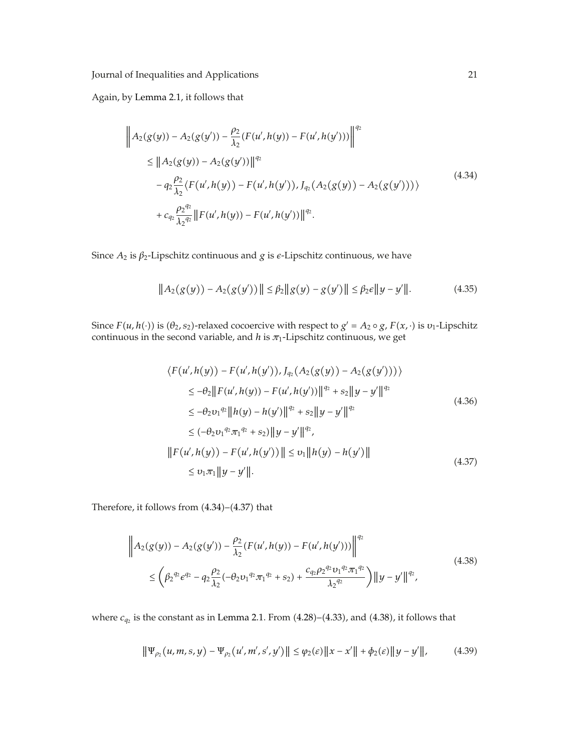Again, by Lemma 2.1, it follows that

$$
\left\| A_2(g(y)) - A_2(g(y')) - \frac{\rho_2}{\lambda_2} (F(u', h(y)) - F(u', h(y'))) \right\|^{q_2}
$$
  
\n
$$
\leq \left\| A_2(g(y)) - A_2(g(y')) \right\|^{q_2}
$$
  
\n
$$
- q_2 \frac{\rho_2}{\lambda_2} \langle F(u', h(y)) - F(u', h(y')), J_{q_2}(A_2(g(y)) - A_2(g(y'))) \rangle
$$
  
\n
$$
+ c_{q_2} \frac{\rho_2^{q_2}}{\lambda_2^{q_2}} \left\| F(u', h(y)) - F(u', h(y')) \right\|^{q_2}.
$$
\n(4.34)

Since *A*<sup>2</sup> is *β*2-Lipschitz continuous and *g* is -Lipschitz continuous, we have

$$
||A_2(g(y)) - A_2(g(y'))|| \le \beta_2 ||g(y) - g(y')|| \le \beta_2 \epsilon ||y - y'||. \tag{4.35}
$$

Since  $F(u, h(\cdot))$  is  $(\theta_2, s_2)$ -relaxed cocoercive with respect to  $g' = A_2 \circ g$ ,  $F(x, \cdot)$  is  $v_1$ -Lipschitz continuous in the second variable, and  $h$  is  $\pi_1$ -Lipschitz continuous, we get

$$
\langle F(u', h(y)) - F(u', h(y')), J_{q_2}(A_2(g(y)) - A_2(g(y')))\rangle
$$
  
\n
$$
\leq -\theta_2 \|F(u', h(y)) - F(u', h(y'))\|^{q_2} + s_2 \|y - y'\|^{q_2}
$$
  
\n
$$
\leq -\theta_2 v_1^{q_2} \|h(y) - h(y')\|^{q_2} + s_2 \|y - y'\|^{q_2}
$$
  
\n
$$
\leq (-\theta_2 v_1^{q_2} \pi_1^{q_2} + s_2) \|y - y'\|^{q_2},
$$
  
\n
$$
\|F(u', h(y)) - F(u', h(y'))\| \leq v_1 \|h(y) - h(y')\|
$$
  
\n
$$
\leq v_1 \pi_1 \|y - y'\|.
$$
\n(4.37)

Therefore, it follows from  $(4.34)$ – $(4.37)$  that

$$
\|A_2(g(y)) - A_2(g(y')) - \frac{\rho_2}{\lambda_2} (F(u', h(y)) - F(u', h(y'))) \|^2
$$
\n
$$
\leq \left(\beta_2^{q_2} \epsilon^{q_2} - q_2 \frac{\rho_2}{\lambda_2} (-\theta_2 v_1^{q_2} \pi_1^{q_2} + s_2) + \frac{c_{q_2} \rho_2^{q_2} v_1^{q_2} \pi_1^{q_2}}{\lambda_2^{q_2}}\right) \|y - y'\|^{q_2},
$$
\n(4.38)

where  $c_{q_2}$  is the constant as in Lemma 2.1. From  $(4.28)$ – $(4.33)$ , and  $(4.38)$ , it follows that

$$
\|\Psi_{\rho_2}(u, m, s, y) - \Psi_{\rho_2}(u', m', s', y')\| \le \varphi_2(\varepsilon) \|x - x'\| + \phi_2(\varepsilon) \|y - y'\|,\tag{4.39}
$$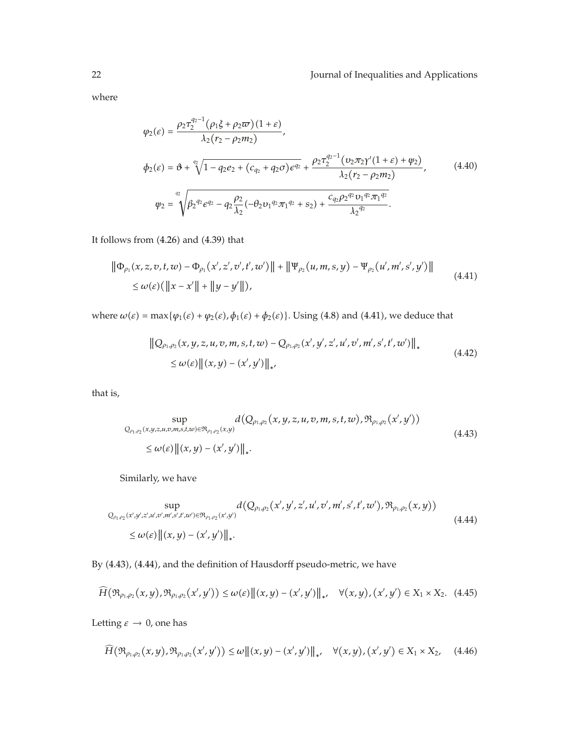where

$$
\varphi_2(\varepsilon) = \frac{\rho_2 \tau_2^{q_2 - 1} (\rho_1 \xi + \rho_2 \varpi)(1 + \varepsilon)}{\lambda_2 (r_2 - \rho_2 m_2)},
$$
\n
$$
\phi_2(\varepsilon) = \vartheta + \sqrt[q]{1 - q_2 e_2 + (c_{q_2} + q_2 \sigma) e^{q_2}} + \frac{\rho_2 \tau_2^{q_2 - 1} (v_2 \pi_2 \gamma'(1 + \varepsilon) + \psi_2)}{\lambda_2 (r_2 - \rho_2 m_2)},
$$
\n
$$
\varphi_2 = \sqrt[q]{\beta_2^{q_2} e^{q_2} - q_2 \frac{\rho_2}{\lambda_2} (-\theta_2 v_1^{q_2} \pi_1^{q_2} + s_2) + \frac{c_{q_2} \rho_2^{q_2} v_1^{q_2} \pi_1^{q_2}}{\lambda_2^{q_2}}}.
$$
\n(4.40)

It follows from  $(4.26)$  and  $(4.39)$  that

$$
\|\Phi_{\rho_1}(x,z,v,t,w) - \Phi_{\rho_1}(x',z',v',t',w')\| + \|\Psi_{\rho_2}(u,m,s,y) - \Psi_{\rho_2}(u',m',s',y')\|
$$
  
\$\leq \omega(\varepsilon)(\|x - x'\| + \|y - y'\|)\$, \qquad (4.41)

where  $\omega(\varepsilon) = \max{\varphi_1(\varepsilon) + \varphi_2(\varepsilon), \varphi_1(\varepsilon) + \varphi_2(\varepsilon)}$ . Using (4.8) and (4.41), we deduce that

$$
\|Q_{\rho_1,\rho_2}(x,y,z,u,v,m,s,t,w) - Q_{\rho_1,\rho_2}(x',y',z',u',v',m',s',t',w')\|_*\le \omega(\varepsilon) \|(x,y) - (x',y')\|_{*'} \qquad (4.42)
$$

that is,

$$
\sup_{Q_{\rho_1,\rho_2}(x,y,z,u,v,m,s,t,w)\in\mathfrak{R}_{\rho_1,\rho_2}(x,y)}d(Q_{\rho_1,\rho_2}(x,y,z,u,v,m,s,t,w),\mathfrak{R}_{\rho_1,\rho_2}(x',y'))\leq \omega(\varepsilon)\|(x,y)-(x',y')\|_*. \qquad (4.43)
$$

Similarly, we have

$$
\sup_{Q_{\rho_1,\rho_2}(x',y',z',u',v',m',s',t',w')\in\Re_{\rho_1,\rho_2}(x',y')} d(Q_{\rho_1,\rho_2}(x',y',z',u',v',m',s',t',w'),\Re_{\rho_1,\rho_2}(x,y))\leq \omega(\varepsilon) \|(x,y)-(x',y')\|_*.
$$
\n(4.44)

By (4.43), (4.44), and the definition of Hausdorff pseudo-metric, we have

$$
\widetilde{H}(\mathfrak{R}_{\rho_{1},\rho_{2}}(x,y),\mathfrak{R}_{\rho_{1},\rho_{2}}(x',y')) \leq \omega(\varepsilon) \|(x,y)-(x',y')\|_{*}, \quad \forall (x,y), (x',y') \in X_{1} \times X_{2}.
$$
 (4.45)

Letting  $\varepsilon \to 0$ , one has

$$
\widehat{H}(\mathfrak{R}_{\rho_1,\rho_2}(x,y),\mathfrak{R}_{\rho_1,\rho_2}(x',y')) \le \omega \| (x,y) - (x',y') \|_*, \quad \forall (x,y), (x',y') \in X_1 \times X_2,\tag{4.46}
$$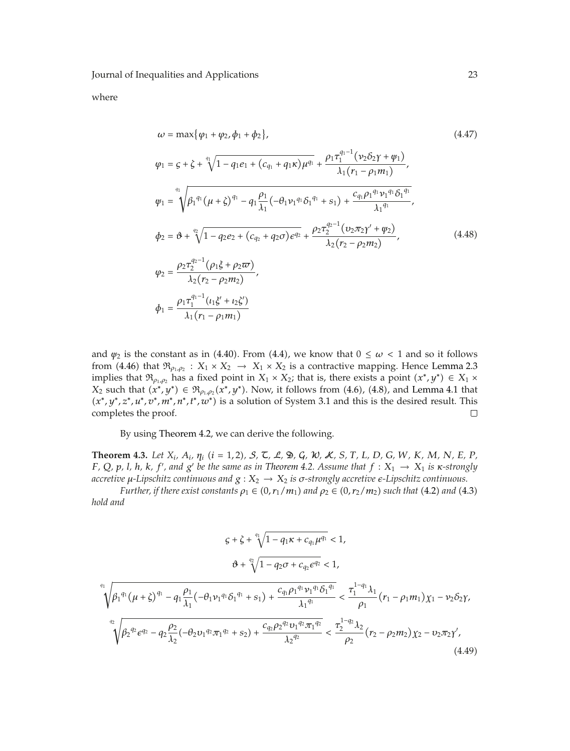where

$$
\omega = \max \{ \varphi_1 + \varphi_2, \phi_1 + \phi_2 \},
$$
\n
$$
\varphi_1 = \zeta + \zeta + \sqrt[4]{1 - q_1 e_1 + (c_{q_1} + q_1 \kappa) \mu^{q_1}} + \frac{\rho_1 \tau_1^{q_1 - 1} (\nu_2 \delta_2 \gamma + \psi_1)}{\lambda_1 (r_1 - \rho_1 m_1)},
$$
\n
$$
\psi_1 = \sqrt{\beta_1^{q_1} (\mu + \zeta)^{q_1} - q_1 \frac{\rho_1}{\lambda_1} (-\theta_1 \nu_1^{q_1} \delta_1^{q_1} + s_1) + \frac{c_{q_1} \rho_1^{q_1} \nu_1^{q_1} \delta_1^{q_1}}{\lambda_1^{q_1}}},
$$
\n
$$
\phi_2 = \vartheta + \sqrt[q]{1 - q_2 e_2 + (c_{q_2} + q_2 \sigma) e^{q_2}} + \frac{\rho_2 \tau_2^{q_2 - 1} (\nu_2 \pi_2 \gamma' + \psi_2)}{\lambda_2 (r_2 - \rho_2 m_2)},
$$
\n
$$
\varphi_2 = \frac{\rho_2 \tau_2^{q_2 - 1} (\rho_1 \xi + \rho_2 \varpi)}{\lambda_2 (r_2 - \rho_2 m_2)},
$$
\n
$$
\phi_1 = \frac{\rho_1 \tau_1^{q_1 - 1} (t_1 \xi' + t_2 \xi')}{\lambda_1 (r_1 - \rho_1 m_1)}
$$
\n(4.48)

and  $\psi_2$  is the constant as in (4.40). From (4.4), we know that  $0 \leq \omega < 1$  and so it follows from (4.46) that  $\mathfrak{R}_{\rho_1,\rho_2}$  :  $X_1 \times X_2 \to X_1 \times X_2$  is a contractive mapping. Hence Lemma 2.3 implies that  $\mathfrak{R}_{\rho_1,\rho_2}$  has a fixed point in  $X_1 \times X_2$ ; that is, there exists a point  $(x^*,y^*) \in X_1 \times$ *X*<sub>2</sub> such that  $(x^*, y^*)$  ∈  $\mathfrak{R}_{\rho_1, \rho_2}(x^*, y^*)$ . Now, it follows from  $(4.6)$ ,  $(4.8)$ , and Lemma 4.1 that -*x*∗*, y*∗*, z*∗*, u*∗*, v*∗*, m*∗*, n*∗*, t*∗*, w*∗ is a solution of System 3.1 and this is the desired result. This completes the proof.  $\Box$ 

By using Theorem 4.2, we can derive the following.

**Theorem 4.3.** Let  $X_i$ ,  $A_i$ ,  $\eta_i$  ( $i = 1, 2$ ),  $S$ ,  $\zeta$ ,  $\mathcal{L}$ ,  $\mathfrak{D}$ ,  $\mathcal{G}$ ,  $\mathcal{W}$ ,  $S$ ,  $T$ ,  $L$ ,  $D$ ,  $G$ ,  $W$ ,  $K$ ,  $M$ ,  $N$ ,  $E$ ,  $P$ , F, Q, p, l, h, k, f', and g' be the same as in Theorem 4.2. Assume that  $f: X_1 \to X_1$  is  $\kappa$ -strongly *accretive μ-Lipschitz continuous and g* : *X*<sup>2</sup> → *X*<sup>2</sup> *is σ-strongly accretive -Lipschitz continuous.*

*Further, if there exist constants*  $\rho_1 \in (0, r_1/m_1)$  and  $\rho_2 \in (0, r_2/m_2)$  such that  $(4.2)$  and  $(4.3)$ *hold and*

$$
\begin{aligned} \n\varsigma + \zeta + \sqrt[q]{1 - q_1 \kappa + c_{q_1} \mu^{q_1}} < 1, \\ \n\vartheta + \sqrt[q]{1 - q_2 \sigma + c_{q_2} \epsilon^{q_2}} < 1, \n\end{aligned}
$$

$$
\sqrt[q_1]{\beta_1^{q_1}(\mu+\zeta)^{q_1} - q_1 \frac{\rho_1}{\lambda_1}(-\theta_1 \nu_1 q_1 \delta_1 q_1 + s_1) + \frac{c_{q_1} \rho_1^{q_1} \nu_1 q_1 \delta_1 q_1}{\lambda_1 q_1}} < \frac{\tau_1^{1-q_1} \lambda_1}{\rho_1} (r_1 - \rho_1 m_1) \chi_1 - \nu_2 \delta_2 \gamma,
$$
  

$$
\sqrt[q_2]{\beta_2^{q_2} \epsilon^{q_2} - q_2 \frac{\rho_2}{\lambda_2}(-\theta_2 \nu_1 q_2 \pi_1 q_2 + s_2) + \frac{c_{q_2} \rho_2^{q_2} \nu_1 q_2 \pi_1 q_2}{\lambda_2^{q_2}}} < \frac{\tau_2^{1-q_2} \lambda_2}{\rho_2} (r_2 - \rho_2 m_2) \chi_2 - \nu_2 \pi_2 \gamma',
$$
(4.49)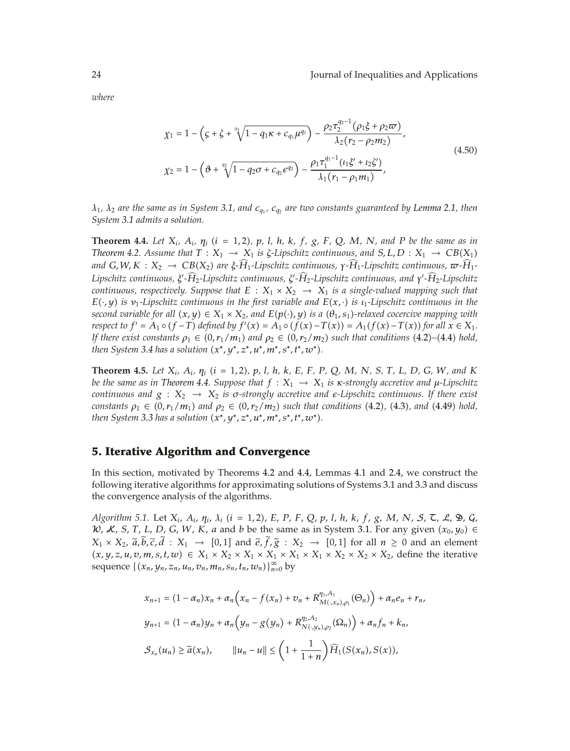*where*

$$
\chi_1 = 1 - \left(\zeta + \zeta + \sqrt[4]{1 - q_1 \kappa + c_{q_1} \mu^{q_1}}\right) - \frac{\rho_2 \tau_2^{q_2 - 1} (\rho_1 \xi + \rho_2 \varpi)}{\lambda_2 (r_2 - \rho_2 m_2)},
$$
\n
$$
\chi_2 = 1 - \left(\vartheta + \sqrt[q]{1 - q_2 \sigma + c_{q_2} \epsilon^{q_2}}\right) - \frac{\rho_1 \tau_1^{q_1 - 1} (t_1 \xi' + t_2 \xi')}{\lambda_1 (r_1 - \rho_1 m_1)},
$$
\n(4.50)

*λ*1*, λ*<sup>2</sup> *are the same as in System 3.1, and cq*<sup>1</sup> *, cq*<sup>2</sup> *are two constants guaranteed by Lemma 2.1, then System 3.1 admits a solution.*

**Theorem 4.4.** Let  $X_i$ ,  $A_i$ ,  $\eta_i$  ( $i = 1, 2$ ),  $p$ , l, h, k, f, g, F, Q, M, N, and P be the same as in *Theorem* 4.2. Assume that  $T: X_1 \to X_1$  is  $\zeta$ -Lipschitz continuous, and  $S, L, D: X_1 \to CB(X_1)$ *and G,W,K* : *X*<sub>2</sub> → *CB*(*X*<sub>2</sub>) are *ξ-H*<sub>1</sub>-Lipschitz continuous, γ-H<sub>1</sub>-Lipschitz continuous, <del>ω</del>-H<sub>1</sub>-*Lipschitz continuous, ξ -H* <sup>2</sup>*-Lipschitz continuous, <sup>ζ</sup> -H* <sup>2</sup>*-Lipschitz continuous, and <sup>γ</sup> -H* <sup>2</sup>*-Lipschitz continuous, respectively. Suppose that*  $E : X_1 \times X_2 \rightarrow X_1$  *is a single-valued mapping such that E*-·*, y is ν*1*-Lipschitz continuous in the first variable and E*-*x,* · *is ι*1*-Lipschitz continuous in the second variable for all*  $(x, y) \in X_1 \times X_2$ , and  $E(p(\cdot), y)$  *is a*  $(\theta_1, s_1)$ -relaxed cocercive mapping with respect to  $f' = A_1 \circ (f - T)$  defined by  $f'(x) = A_1 \circ (f(x) - T(x)) = A_1(f(x) - T(x))$  for all  $x \in X_1$ . *If there exist constants*  $\rho_1 \in (0, r_1/m_1)$  and  $\rho_2 \in (0, r_2/m_2)$  such that conditions (4.2)–(4.4) hold, *then System 3.4 has a solution (x\*, y\*, z\*, u\*, m\*, s\*, t\*, w\*).* 

**Theorem 4.5.** Let  $X_i$ ,  $A_i$ ,  $\eta_i$  ( $i = 1, 2$ ),  $p$ ,  $l$ ,  $h$ ,  $k$ ,  $E$ ,  $F$ ,  $P$ ,  $Q$ ,  $M$ ,  $N$ ,  $S$ ,  $T$ ,  $L$ ,  $D$ ,  $G$ ,  $W$ , and  $K$ *be the same as in Theorem 4.4. Suppose that*  $f : X_1 \to X_1$  *is x-strongly accretive and*  $\mu$ *-Lipschitz continuous and g* : *X*<sup>2</sup> → *X*<sup>2</sup> *is σ-strongly accretive and -Lipschitz continuous. If there exist*  $\text{constants } \rho_1 \in (0, r_1/m_1) \text{ and } \rho_2 \in (0, r_2/m_2) \text{ such that conditions (4.2), (4.3), and (4.49) hold,}$ *then System 3.3 has a solution (x\*, y\*, z\*, u\*, m\*, s\*, t\*, w\*).* 

#### **5. Iterative Algorithm and Convergence**

In this section, motivated by Theorems 4.2 and 4.4, Lemmas 4.1 and 2.4, we construct the following iterative algorithms for approximating solutions of Systems 3.1 and 3.3 and discuss the convergence analysis of the algorithms.

Algorithm 5.1. Let  $X_i$ ,  $A_i$ ,  $\eta_i$ ,  $\lambda_i$   $(i = 1, 2)$ , E, P, F, Q, p, l, h, k, f, g, M, N, S,  $\zeta$ , L,  $\mathfrak{D}$ , G, *N*, *X*, *S*, *T*, *L*, *D*, *G*, *W*, *K*, *a* and *b* be the same as in System 3.1. For any given  $(x_0, y_0)$  ∈ *<sup>X</sup>*<sup>1</sup> <sup>×</sup> *<sup>X</sup>*2, *a, b, c, <sup>d</sup>* : *<sup>X</sup>*<sup>1</sup> <sup>→</sup> 0*,* <sup>1</sup> and *e, f, <sup>g</sup>* : *<sup>X</sup>*<sup>2</sup> <sup>→</sup> 0*,* <sup>1</sup> for all *<sup>n</sup>* <sup>≥</sup> 0 and an element  $(x, y, z, u, v, m, s, t, w) \in X_1 \times X_2 \times X_1 \times X_1 \times X_1 \times X_2 \times X_2 \times X_2 \times X_2$ , define the iterative sequence  $\{(x_n, y_n, z_n, u_n, v_n, m_n, s_n, t_n, w_n)\}_{n=0}^{\infty}$  by

$$
x_{n+1} = (1 - \alpha_n)x_n + \alpha_n (x_n - f(x_n) + v_n + R_{M(\cdot, x_n), \rho_1}^{\eta_1, A_1}(\Theta_n)) + \alpha_n e_n + r_n,
$$
  

$$
y_{n+1} = (1 - \alpha_n)y_n + \alpha_n (y_n - g(y_n) + R_{N(\cdot, y_n), \rho_2}^{\eta_2, A_2}(\Omega_n)) + \alpha_n f_n + k_n,
$$
  

$$
S_{x_n}(u_n) \ge \tilde{a}(x_n), \qquad ||u_n - u|| \le \left(1 + \frac{1}{1+n}\right) \widehat{H}_1(S(x_n), S(x)),
$$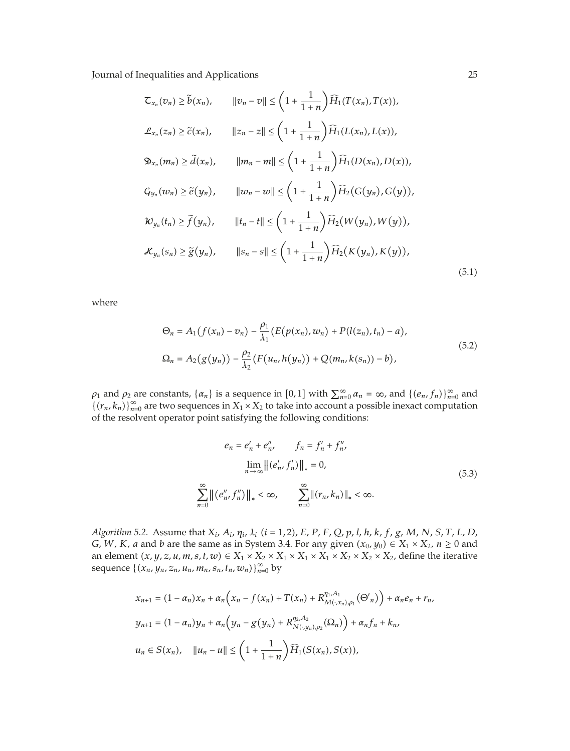$$
\mathcal{L}_{x_n}(v_n) \ge \tilde{b}(x_n), \qquad ||v_n - v|| \le \left(1 + \frac{1}{1+n}\right) \widehat{H}_1(T(x_n), T(x)),
$$
  

$$
\mathcal{L}_{x_n}(z_n) \ge \tilde{c}(x_n), \qquad ||z_n - z|| \le \left(1 + \frac{1}{1+n}\right) \widehat{H}_1(L(x_n), L(x)),
$$
  

$$
\mathfrak{D}_{x_n}(m_n) \ge \tilde{d}(x_n), \qquad ||m_n - m|| \le \left(1 + \frac{1}{1+n}\right) \widehat{H}_1(D(x_n), D(x)),
$$
  

$$
\mathcal{G}_{y_n}(w_n) \ge \tilde{e}(y_n), \qquad ||w_n - w|| \le \left(1 + \frac{1}{1+n}\right) \widehat{H}_2(G(y_n), G(y)),
$$
  

$$
\mathcal{W}_{y_n}(t_n) \ge \tilde{f}(y_n), \qquad ||t_n - t|| \le \left(1 + \frac{1}{1+n}\right) \widehat{H}_2(W(y_n), W(y)),
$$
  

$$
\mathcal{K}_{y_n}(s_n) \ge \tilde{g}(y_n), \qquad ||s_n - s|| \le \left(1 + \frac{1}{1+n}\right) \widehat{H}_2(K(y_n), K(y)),
$$
  
(5.1)

where

$$
\Theta_n = A_1(f(x_n) - v_n) - \frac{\rho_1}{\lambda_1} (E(p(x_n), w_n) + P(l(z_n), t_n) - a),
$$
  
\n
$$
\Omega_n = A_2(g(y_n)) - \frac{\rho_2}{\lambda_2} (F(u_n, h(y_n)) + Q(m_n, k(s_n)) - b),
$$
\n(5.2)

 $\rho_1$  and  $\rho_2$  are constants,  $\{\alpha_n\}$  is a sequence in [0, 1] with  $\sum_{n=0}^{\infty} \alpha_n = \infty$ , and  $\{(e_n, f_n)\}_{n=0}^{\infty}$  and  ${((r_n, k_n))}_{n=0}^{\infty}$  are two sequences in  $X_1 \times X_2$  to take into account a possible inexact computation of the resolvent operator point satisfying the following conditions:

$$
e_n = e'_n + e''_n, \qquad f_n = f'_n + f''_n,
$$
  

$$
\lim_{n \to \infty} ||(e'_n, f'_n)||_* = 0,
$$
  

$$
\sum_{n=0}^{\infty} ||(e''_n, f''_n)||_* < \infty, \qquad \sum_{n=0}^{\infty} ||(r_n, k_n)||_* < \infty.
$$
 (5.3)

Algorithm 5.2. Assume that  $X_i$ ,  $A_i$ ,  $\eta_i$ ,  $\lambda_i$  (i = 1, 2), E, P, F, Q, p, l, h, k, f, g, M, N, S, T, L, D, *G*, *W*, *K*, *a* and *b* are the same as in System 3.4. For any given  $(x_0, y_0) \in X_1 \times X_2$ ,  $n \ge 0$  and an element  $(x, y, z, u, m, s, t, w) \in X_1 \times X_2 \times X_1 \times X_1 \times X_2 \times X_2 \times X_2 \times X_2$ , define the iterative sequence  $\{(x_n, y_n, z_n, u_n, m_n, s_n, t_n, w_n)\}_{n=0}^{\infty}$  by

$$
x_{n+1} = (1 - \alpha_n)x_n + \alpha_n \Big( x_n - f(x_n) + T(x_n) + R_{M(\cdot, x_n), \rho_1}^{\eta_1, A_1}(\Theta'_n) \Big) + \alpha_n e_n + r_n,
$$
  

$$
y_{n+1} = (1 - \alpha_n)y_n + \alpha_n \Big( y_n - g(y_n) + R_{N(\cdot, y_n), \rho_2}^{\eta_2, A_2}(\Omega_n) \Big) + \alpha_n f_n + k_n,
$$
  

$$
u_n \in S(x_n), \quad ||u_n - u|| \le \left( 1 + \frac{1}{1+n} \right) \widehat{H}_1(S(x_n), S(x)),
$$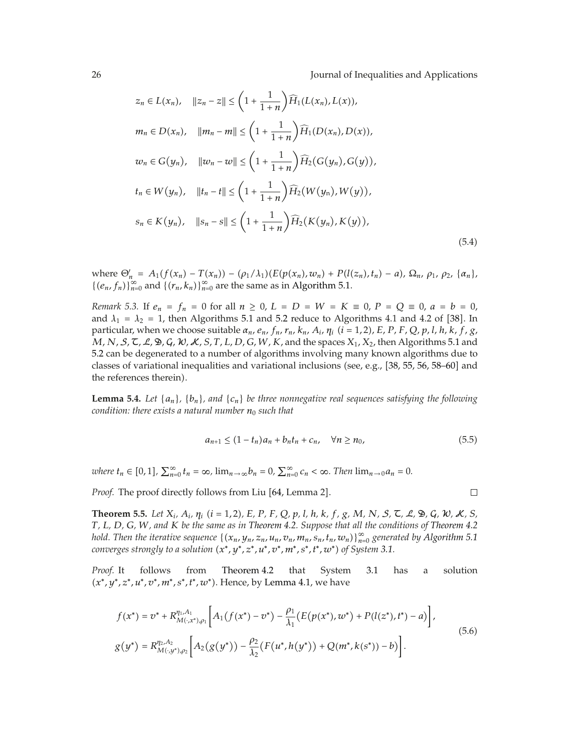$$
z_n \in L(x_n), \quad ||z_n - z|| \le \left(1 + \frac{1}{1+n}\right) \widehat{H}_1(L(x_n), L(x)),
$$
  
\n
$$
m_n \in D(x_n), \quad ||m_n - m|| \le \left(1 + \frac{1}{1+n}\right) \widehat{H}_1(D(x_n), D(x)),
$$
  
\n
$$
w_n \in G(y_n), \quad ||w_n - w|| \le \left(1 + \frac{1}{1+n}\right) \widehat{H}_2(G(y_n), G(y)),
$$
  
\n
$$
t_n \in W(y_n), \quad ||t_n - t|| \le \left(1 + \frac{1}{1+n}\right) \widehat{H}_2(W(y_n), W(y)),
$$
  
\n
$$
s_n \in K(y_n), \quad ||s_n - s|| \le \left(1 + \frac{1}{1+n}\right) \widehat{H}_2(K(y_n), K(y)),
$$
  
\n(5.4)

where  $\Theta'_n = A_1(f(x_n) - T(x_n)) - (\rho_1/\lambda_1)(E(p(x_n), w_n) + P(l(z_n), t_n) - a), \Omega_n, \rho_1, \rho_2, {\alpha_n},$  ${ (e_n, f_n) }_{n=0}^{\infty}$  and  ${ (r_n, k_n) }_{n=0}^{\infty}$  are the same as in Algorithm 5.1.

*Remark* 5.3. If  $e_n = f_n = 0$  for all  $n \ge 0$ ,  $L = D = W = K \equiv 0$ ,  $P = Q \equiv 0$ ,  $a = b = 0$ , and  $\lambda_1 = \lambda_2 = 1$ , then Algorithms 5.1 and 5.2 reduce to Algorithms 4.1 and 4.2 of [38]. In particular, when we choose suitable  $\alpha_n$ ,  $e_n$ ,  $f_n$ ,  $r_n$ ,  $k_n$ ,  $A_i$ ,  $\eta_i$   $(i = 1, 2)$ , E, P, F, Q, p, l, h, k, f, g, *M*, *N*, S, T, L, D, G, W, K, *S*, *T*, *L*, *D*, *G*, *W*, *K*, and the spaces *X*1, *X*2, then Algorithms 5.1 and 5.2 can be degenerated to a number of algorithms involving many known algorithms due to classes of variational inequalities and variational inclusions (see, e.g.,  $[38, 55, 56, 58-60]$  and the references therein).

**Lemma 5.4.** *Let*  $\{a_n\}$ *,*  $\{b_n\}$ *, and*  $\{c_n\}$  *be three nonnegative real sequences satisfying the following condition: there exists a natural number*  $n_0$  *such that* 

$$
a_{n+1} \le (1 - t_n)a_n + b_n t_n + c_n, \quad \forall n \ge n_0,
$$
\n(5.5)

*where*  $t_n \in [0,1]$ ,  $\sum_{n=0}^{\infty} t_n = \infty$ ,  $\lim_{n \to \infty} b_n = 0$ ,  $\sum_{n=0}^{\infty} c_n < \infty$ . Then  $\lim_{n \to 0} a_n = 0$ .

*Proof.* The proof directly follows from Liu [64, Lemma 2].

 $\Box$ 

**Theorem 5.5.** Let  $X_i$ ,  $A_i$ ,  $\eta_i$  ( $i = 1, 2$ ), E, P, F, Q, p, l, h, k, f, g, M, N, S,  $\zeta$ ,  $\mathcal{L}$ ,  $\mathcal{D}$ ,  $\zeta$ ,  $\mathcal{W}$ ,  $\mathcal{K}$ , S, *T, L, D, G, W, and K be the same as in Theorem 4.2. Suppose that all the conditions of Theorem 4.2 hold. Then the iterative sequence*  $\{(x_n, y_n, z_n, u_n, v_n, m_n, s_n, t_n, w_n)\}_{n=0}^{\infty}$  generated by Algorithm 5.1 *converges strongly to a solution*  $(x^*, y^*, z^*, u^*, v^*, m^*, s^*, t^*, w^*)$  *of System 3.1.* 

*Proof.* It follows from Theorem 4.2 that System 3.1 has a solution -*x*∗*, y*∗*, z*∗*, u*∗*, v*∗*, m*∗*, s*∗*, t*∗*, w*∗. Hence, by Lemma 4.1, we have

$$
f(x^*) = v^* + R_{M(\cdot, x^*)\rho_1}^{\eta_1, A_1} \left[ A_1(f(x^*) - v^*) - \frac{\rho_1}{\lambda_1} (E(p(x^*), w^*) + P(l(z^*), t^*) - a) \right],
$$
  
\n
$$
g(y^*) = R_{M(\cdot, y^*)\rho_2}^{\eta_2, A_2} \left[ A_2(g(y^*)) - \frac{\rho_2}{\lambda_2} (F(u^*, h(y^*)) + Q(m^*, k(s^*)) - b) \right].
$$
\n(5.6)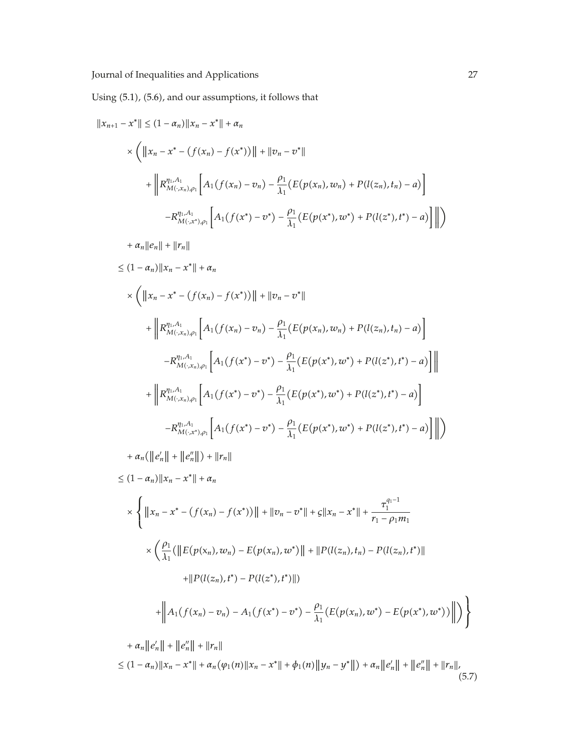Using (5.1), (5.6), and our assumptions, it follows that

$$
||x_{n+1} - x^*|| \leq (1 - \alpha_n)||x_n - x^*|| + \alpha_n
$$
  
\n
$$
\times \left( ||x_n - x^* - (f(x_n) - f(x^*))|| + ||v_n - v^*||
$$
\n
$$
+ \left||R_{M(x_n),\rho_1}^{n_1,A_1} \left[ A_1(f(x_n) - v_n) - \frac{\rho_1}{\lambda_1} (E(p(x_n), w_n) + P(l(z_n), t_n) - a) \right] \right|
$$
\n
$$
-R_{M(x^*)\rho_1}^{n_1,A_1} \left[ A_1(f(x^*) - v^*) - \frac{\rho_1}{\lambda_1} (E(p(x^*), w^*) + P(l(z^*), t^*) - a) \right] ||)
$$
\n
$$
+ \alpha_n ||e_n|| + ||r_n||
$$
\n
$$
\leq (1 - \alpha_n)||x_n - x^*|| + \alpha_n
$$
\n
$$
\times \left( ||x_n - x^* - (f(x_n) - f(x^*))|| + ||v_n - v^*||
$$
\n
$$
+ \left||R_{M(x_n),\rho_1}^{n_1,A_1} \left[ A_1(f(x_n) - v_n) - \frac{\rho_1}{\lambda_1} (E(p(x_n), w_n) + P(l(z_n), t_n) - a) \right] \right|
$$
\n
$$
-R_{M(x_n),\rho_1}^{n_1,A_1} \left[ A_1(f(x^*) - v^*) - \frac{\rho_1}{\lambda_1} (E(p(x^*), w^*) + P(l(z^*), t^*) - a) \right] ||
$$
\n
$$
+ \left||R_{M(x_n),\rho_1}^{n_1,A_1} \left[ A_1(f(x^*) - v^*) - \frac{\rho_1}{\lambda_1} (E(p(x^*), w^*) + P(l(z^*), t^*) - a) \right] \right||
$$
\n
$$
+ R_n(||e_n|| + ||e_n||) + ||r_n||
$$
\n
$$
\leq (1 - \alpha_n)||x_n - x^*|| + \alpha_n
$$
\n
$$
\times \left\{ ||x_n - x^* - (f(x_n) - f(x^*))|| + ||v_n - v^*|| + \varsigma ||x_n - x^*|| + \frac{\tau_1^{\alpha_1 - 1}}{r_1 - \rho_1 m_1}
$$
\n
$$
\times \left\{
$$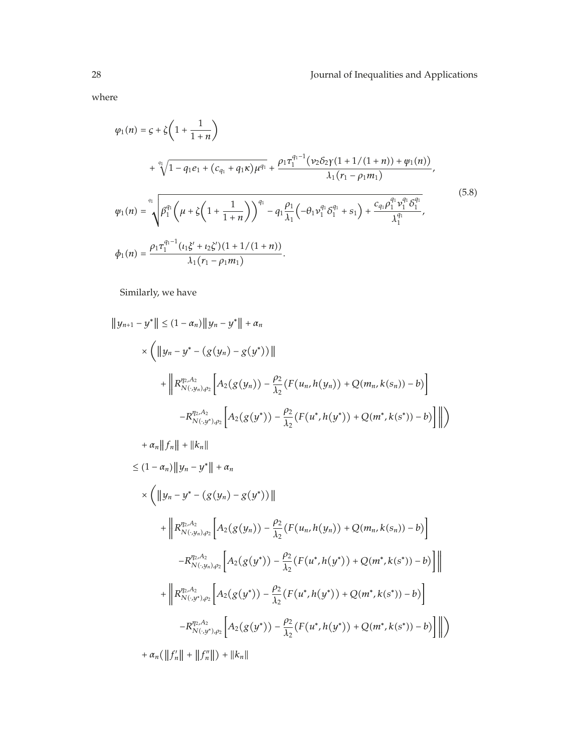where

$$
\varphi_{1}(n) = g + \zeta \left( 1 + \frac{1}{1+n} \right)
$$
\n
$$
+ \sqrt[n]{1 - q_{1}e_{1} + (c_{q_{1}} + q_{1}\kappa)\mu^{q_{1}}} + \frac{\rho_{1}\tau_{1}^{q_{1}-1}(\nu_{2}\delta_{2}\gamma(1+1/(1+n)) + \psi_{1}(n))}{\lambda_{1}(r_{1} - \rho_{1}m_{1})},
$$
\n
$$
\psi_{1}(n) = \sqrt[n]{\beta_{1}^{q_{1}}\left(\mu + \zeta\left(1 + \frac{1}{1+n}\right)\right)^{q_{1}} - q_{1}\frac{\rho_{1}}{\lambda_{1}}\left(-\theta_{1}\nu_{1}^{q_{1}}\delta_{1}^{q_{1}} + s_{1}\right) + \frac{c_{q_{1}}\rho_{1}^{q_{1}}\nu_{1}^{q_{1}}\delta_{1}^{q_{1}}}{\lambda_{1}^{q_{1}}}},
$$
\n
$$
\phi_{1}(n) = \frac{\rho_{1}\tau_{1}^{q_{1}-1}(t_{1}\xi' + t_{2}\zeta')(1+1/(1+n))}{\lambda_{1}(r_{1} - \rho_{1}m_{1})}.
$$
\n(5.8)

Similarly, we have

$$
||y_{n+1} - y^*|| \leq (1 - \alpha_n) ||y_n - y^*|| + \alpha_n
$$
  
\n
$$
\times \left( ||y_n - y^* - (g(y_n) - g(y^*))||
$$
  
\n
$$
+ ||R_{N(\cdot,y_n),\rho_2}^{\eta_2, A_2} [A_2(g(y_n)) - \frac{\rho_2}{\lambda_2} (F(u_n, h(y_n)) + Q(m_n, k(s_n)) - b)]
$$
  
\n
$$
- R_{N(\cdot,y^*),\rho_2}^{\eta_2, A_2} [A_2(g(y^*)) - \frac{\rho_2}{\lambda_2} (F(u^*, h(y^*)) + Q(m^*, k(s^*)) - b)]
$$
  
\n
$$
+ \alpha_n ||f_n|| + ||k_n||
$$
  
\n
$$
\leq (1 - \alpha_n) ||y_n - y^*|| + \alpha_n
$$
  
\n
$$
\times \left( ||y_n - y^* - (g(y_n) - g(y^*))||
$$
  
\n
$$
+ ||R_{N(\cdot,y_n),\rho_2}^{\eta_2, A_2} [A_2(g(y_n)) - \frac{\rho_2}{\lambda_2} (F(u_n, h(y_n)) + Q(m_n, k(s_n)) - b)]
$$
  
\n
$$
- R_{N(\cdot,y_n),\rho_2}^{\eta_2, A_2} [A_2(g(y^*)) - \frac{\rho_2}{\lambda_2} (F(u^*, h(y^*)) + Q(m^*, k(s^*)) - b)]
$$
  
\n
$$
+ ||R_{N(\cdot,y^*),\rho_2}^{\eta_2, A_2} [A_2(g(y^*)) - \frac{\rho_2}{\lambda_2} (F(u^*, h(y^*)) + Q(m^*, k(s^*)) - b)]
$$
  
\n
$$
- R_{N(\cdot,y^*),\rho_2}^{\eta_2, A_2} [A_2(g(y^*)) - \frac{\rho_2}{\lambda_2} (F(u^*, h(y^*)) + Q(m^*, k(s^*)) - b)]
$$
  
\n
$$
+ \alpha_n (||f_n|| + ||f_n||) + ||k_n||
$$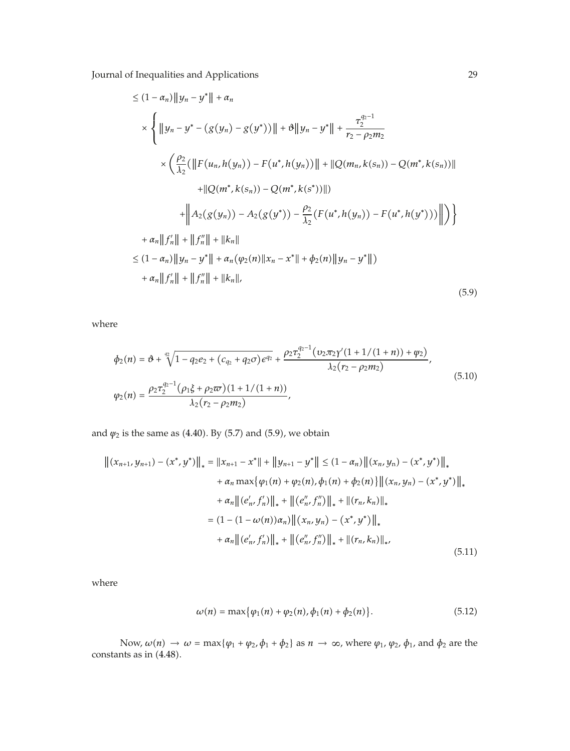$$
\leq (1 - \alpha_n) \|y_n - y^*\| + \alpha_n
$$
  
\n
$$
\times \left\{ \|y_n - y^* - (g(y_n) - g(y^*))\| + \vartheta \|y_n - y^*\| + \frac{\tau_2^{q_2 - 1}}{r_2 - \rho_2 m_2} \right\}
$$
  
\n
$$
\times \left(\frac{\rho_2}{\lambda_2}(\|F(u_n, h(y_n)) - F(u^*, h(y_n))\| + \|Q(m_n, k(s_n)) - Q(m^*, k(s_n))\| + \|Q(m^*, k(s_n)) - Q(m^*, k(s_n))\| + \|A_2(g(y_n)) - A_2(g(y^*)) - \frac{\rho_2}{\lambda_2}(F(u^*, h(y_n)) - F(u^*, h(y^*)))\| \right) \right\}
$$
  
\n
$$
+ \alpha_n \|f'_n\| + \|f''_n\| + \|k_n\|
$$
  
\n
$$
\leq (1 - \alpha_n) \|y_n - y^*\| + \alpha_n (\varphi_2(n) \|x_n - x^*\| + \varphi_2(n) \|y_n - y^*\|)
$$
  
\n
$$
+ \alpha_n \|f'_n\| + \|f''_n\| + \|k_n\|,
$$
  
\n(5.9)

where

$$
\phi_2(n) = \vartheta + \sqrt[4]{1 - q_2 e_2 + (c_{q_2} + q_2 \sigma) e^{q_2}} + \frac{\rho_2 \tau_2^{q_2 - 1} (v_2 \pi_2 \gamma' (1 + 1/(1 + n)) + \psi_2)}{\lambda_2 (r_2 - \rho_2 m_2)},
$$
\n
$$
\varphi_2(n) = \frac{\rho_2 \tau_2^{q_2 - 1} (\rho_1 \xi + \rho_2 \varpi) (1 + 1/(1 + n))}{\lambda_2 (r_2 - \rho_2 m_2)},
$$
\n(5.10)

and  $\psi_2$  is the same as (4.40). By (5.7) and (5.9), we obtain

$$
\left\| (x_{n+1}, y_{n+1}) - (x^*, y^*) \right\|_* = \left\| x_{n+1} - x^* \right\| + \left\| y_{n+1} - y^* \right\| \le (1 - \alpha_n) \left\| (x_n, y_n) - (x^*, y^*) \right\|_* + \alpha_n \max \{ \varphi_1(n) + \varphi_2(n), \varphi_1(n) + \varphi_2(n) \} \left\| (x_n, y_n) - (x^*, y^*) \right\|_* + \alpha_n \left\| (e'_n, f'_n) \right\|_* + \left\| (e''_n, f''_n) \right\|_* + \left\| (r_n, k_n) \right\|_* = (1 - (1 - \omega(n))\alpha_n) \left\| (x_n, y_n) - (x^*, y^*) \right\|_* + \alpha_n \left\| (e'_n, f'_n) \right\|_* + \left\| (e''_n, f''_n) \right\|_* + \left\| (r_n, k_n) \right\|_*
$$
(5.11)

where

$$
\omega(n) = \max{\varphi_1(n) + \varphi_2(n), \varphi_1(n) + \varphi_2(n)}.
$$
 (5.12)

Now,  $\omega(n) \to \omega = \max\{\varphi_1 + \varphi_2, \varphi_1 + \varphi_2\}$  as  $n \to \infty$ , where  $\varphi_1$ ,  $\varphi_2$ ,  $\varphi_1$ , and  $\varphi_2$  are the constants as in  $(4.48)$ .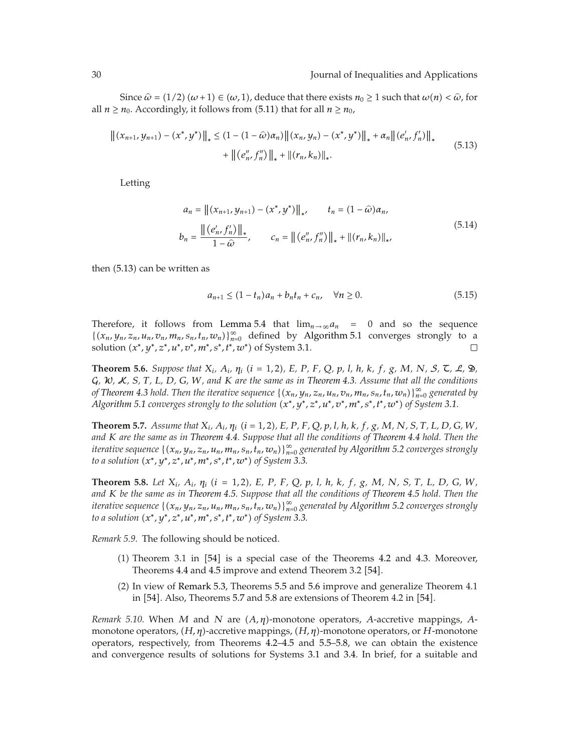Since  $\hat{\omega} = (1/2) (\omega + 1) \in (\omega, 1)$ , deduce that there exists  $n_0 \ge 1$  such that  $\omega(n) < \hat{\omega}$ , for all  $n \geq n_0$ . Accordingly, it follows from (5.11) that for all  $n \geq n_0$ ,

$$
\left\| (x_{n+1}, y_{n+1}) - (x^*, y^*) \right\|_* \le (1 - (1 - \hat{\omega})\alpha_n) \left\| (x_n, y_n) - (x^*, y^*) \right\|_* + \alpha_n \left\| (e'_n, f'_n) \right\|_* + \left\| (e''_n, f''_n) \right\|_* + \left\| (r_n, k_n) \right\|_*.
$$
(5.13)

Letting

$$
a_n = ||(x_{n+1}, y_{n+1}) - (x^*, y^*)||_* , \t t_n = (1 - \hat{\omega}) \alpha_n,
$$
  

$$
b_n = \frac{||(e'_n, f'_n)||_*}{1 - \hat{\omega}}, \t c_n = ||(e''_n, f''_n)||_* + ||(r_n, k_n)||_* , \t (5.14)
$$

then (5.13) can be written as

$$
a_{n+1} \le (1 - t_n)a_n + b_n t_n + c_n, \quad \forall n \ge 0.
$$
 (5.15)

Therefore, it follows from Lemma 5.4 that  $\lim_{n\to\infty} a_n = 0$  and so the sequence  $\{(x_n, y_n, z_n, u_n, v_n, m_n, s_n, t_n, w_n)\}_{n=0}^{\infty}$  defined by Algorithm 5.1 converges strongly to a *x*solution (*x*\**, y*\**, z*\**, u*\**, v*\**, m*\**, s*\**, t*\**, w*\*) of System 3.1.  $\Box$ 

**Theorem 5.6.** Suppose that  $X_i$ ,  $A_i$ ,  $\eta_i$  ( $i = 1, 2$ ), E, P, F, Q, p, l, h, k, f, g, M, N, S,  $\zeta$ ,  $\Delta$ ,  $\mathfrak{D}$ , G*,* W*,* K*, S, T, L, D, G, W, and K are the same as in Theorem 4.3. Assume that all the conditions of Theorem 4.3 hold. Then the iterative sequence*  $\{(x_n, y_n, z_n, u_n, v_n, m_n, s_n, t_n, w_n)\}_{n=0}^{\infty}$  generated by *Algorithm 5.1 converges strongly to the solution*  $(x^*, y^*, z^*, u^*, v^*, m^*, s^*, t^*, w^*)$  *of System 3.1.* 

**Theorem 5.7.** Assume that  $X_i$ ,  $A_i$ ,  $\eta_i$  ( $i = 1, 2$ ), E, P, F, Q, p, l, h, k, f, g, M, N, S, T, L, D, G, W, *and K are the same as in Theorem 4.4. Suppose that all the conditions of Theorem 4.4 hold. Then the iterative sequence*  $\{(x_n, y_n, z_n, u_n, m_n, s_n, t_n, w_n)\}_{n=0}^{\infty}$  generated by Algorithm 5.2 converges strongly *to a solution* -*x*∗*, y*∗*, z*∗*, u*∗*, m*∗*, s*∗*, t*∗*, w*∗ *of System 3.3.*

**Theorem 5.8.** Let  $X_i$ ,  $A_i$ ,  $\eta_i$  ( $i = 1, 2$ ), E, P, F, Q, p, l, h, k, f, g, M, N, S, T, L, D, G, W, *and K be the same as in Theorem 4.5. Suppose that all the conditions of Theorem 4.5 hold. Then the iterative sequence*  $\{(x_n, y_n, z_n, u_n, m_n, s_n, t_n, w_n)\}_{n=0}^{\infty}$  generated by Algorithm 5.2 converges strongly *to a solution* -*x*∗*, y*∗*, z*∗*, u*∗*, m*∗*, s*∗*, t*∗*, w*∗ *of System 3.3.*

*Remark 5.9.* The following should be noticed.

- $(1)$  Theorem 3.1 in  $[54]$  is a special case of the Theorems 4.2 and 4.3. Moreover, Theorems 4.4 and 4.5 improve and extend Theorem 3.2 [54].
- -2 In view of Remark 5.3, Theorems 5.5 and 5.6 improve and generalize Theorem 4*.*1 in  $[54]$ . Also, Theorems 5.7 and 5.8 are extensions of Theorem 4.2 in  $[54]$ .

*Remark* 5.10. When *M* and *N* are  $(A, \eta)$ -monotone operators, *A*-accretive mappings, *A*monotone operators, (*H*, η)-accretive mappings, (*H,* η)-monotone operators, or *H*-monotone operators, respectively, from Theorems 4.2–4.5 and 5.5–5.8, we can obtain the existence and convergence results of solutions for Systems 3.1 and 3.4. In brief, for a suitable and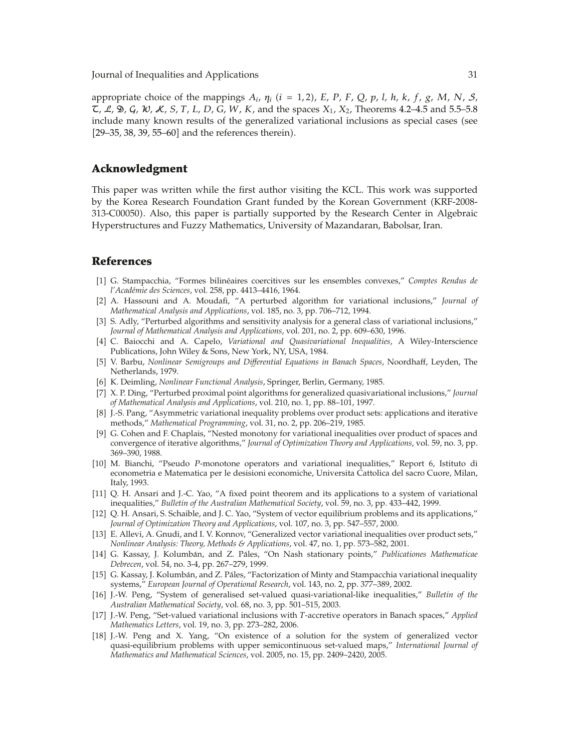appropriate choice of the mappings  $A_i$ ,  $\eta_i$  ( $i = 1, 2$ ),  $E$ ,  $P$ ,  $F$ ,  $Q$ ,  $p$ ,  $l$ ,  $h$ ,  $k$ ,  $f$ ,  $g$ ,  $M$ ,  $N$ ,  $S$ ,  $\mathcal{L}, \mathcal{L}, \mathcal{L}, \mathcal{L}, \mathcal{G}, \mathcal{W}, \mathcal{K}, S, T, L, D, G, W, K$ , and the spaces  $X_1, X_2$ , Theorems 4.2–4.5 and 5.5–5.8 include many known results of the generalized variational inclusions as special cases (see  $[29-35, 38, 39, 55-60]$  and the references therein).

#### **Acknowledgment**

This paper was written while the first author visiting the KCL. This work was supported by the Korea Research Foundation Grant funded by the Korean Government (KRF-2008-313-C00050. Also, this paper is partially supported by the Research Center in Algebraic Hyperstructures and Fuzzy Mathematics, University of Mazandaran, Babolsar, Iran.

#### **References**

- 1 G. Stampacchia, "Formes bilineaires coercitives sur les ensembles convexes," ´ *Comptes Rendus de l'Academie des Sciences ´* , vol. 258, pp. 4413–4416, 1964.
- 2 A. Hassouni and A. Moudafi, "A perturbed algorithm for variational inclusions," *Journal of Mathematical Analysis and Applications*, vol. 185, no. 3, pp. 706–712, 1994.
- [3] S. Adly, "Perturbed algorithms and sensitivity analysis for a general class of variational inclusions," *Journal of Mathematical Analysis and Applications*, vol. 201, no. 2, pp. 609–630, 1996.
- 4 C. Baiocchi and A. Capelo, *Variational and Quasivariational Inequalities*, A Wiley-Interscience Publications, John Wiley & Sons, New York, NY, USA, 1984.
- 5 V. Barbu, *Nonlinear Semigroups and Differential Equations in Banach Spaces*, Noordhaff, Leyden, The Netherlands, 1979.
- 6 K. Deimling, *Nonlinear Functional Analysis*, Springer, Berlin, Germany, 1985.
- 7 X. P. Ding, "Perturbed proximal point algorithms for generalized quasivariational inclusions," *Journal of Mathematical Analysis and Applications*, vol. 210, no. 1, pp. 88–101, 1997.
- 8 J.-S. Pang, "Asymmetric variational inequality problems over product sets: applications and iterative methods," *Mathematical Programming*, vol. 31, no. 2, pp. 206–219, 1985.
- [9] G. Cohen and F. Chaplais, "Nested monotony for variational inequalities over product of spaces and convergence of iterative algorithms," *Journal of Optimization Theory and Applications*, vol. 59, no. 3, pp. 369–390, 1988.
- 10 M. Bianchi, "Pseudo *P*-monotone operators and variational inequalities," Report 6, Istituto di econometria e Matematica per le desisioni economiche, Universita Cattolica del sacro Cuore, Milan, Italy, 1993.
- [11] Q. H. Ansari and J.-C. Yao, "A fixed point theorem and its applications to a system of variational inequalities," *Bulletin of the Australian Mathematical Society*, vol. 59, no. 3, pp. 433–442, 1999.
- 12 Q. H. Ansari, S. Schaible, and J. C. Yao, "System of vector equilibrium problems and its applications," *Journal of Optimization Theory and Applications*, vol. 107, no. 3, pp. 547–557, 2000.
- [13] E. Allevi, A. Gnudi, and I. V. Konnov, "Generalized vector variational inequalities over product sets," *Nonlinear Analysis: Theory, Methods & Applications*, vol. 47, no. 1, pp. 573–582, 2001.
- [14] G. Kassay, J. Kolumbán, and Z. Páles, "On Nash stationary points," Publicationes Mathematicae *Debrecen*, vol. 54, no. 3-4, pp. 267–279, 1999.
- [15] G. Kassay, J. Kolumbán, and Z. Páles, "Factorization of Minty and Stampacchia variational inequality systems," *European Journal of Operational Research*, vol. 143, no. 2, pp. 377–389, 2002.
- 16 J.-W. Peng, "System of generalised set-valued quasi-variational-like inequalities," *Bulletin of the Australian Mathematical Society*, vol. 68, no. 3, pp. 501–515, 2003.
- 17 J.-W. Peng, "Set-valued variational inclusions with *T*-accretive operators in Banach spaces," *Applied Mathematics Letters*, vol. 19, no. 3, pp. 273–282, 2006.
- 18 J.-W. Peng and X. Yang, "On existence of a solution for the system of generalized vector quasi-equilibrium problems with upper semicontinuous set-valued maps," *International Journal of Mathematics and Mathematical Sciences*, vol. 2005, no. 15, pp. 2409–2420, 2005.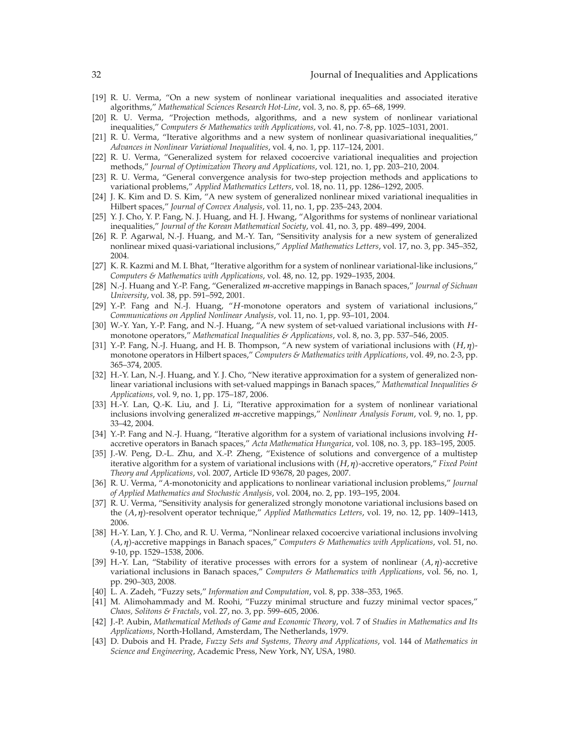- 19 R. U. Verma, "On a new system of nonlinear variational inequalities and associated iterative algorithms," *Mathematical Sciences Research Hot-Line*, vol. 3, no. 8, pp. 65–68, 1999.
- 20 R. U. Verma, "Projection methods, algorithms, and a new system of nonlinear variational inequalities," *Computers & Mathematics with Applications*, vol. 41, no. 7-8, pp. 1025–1031, 2001.
- [21] R. U. Verma, "Iterative algorithms and a new system of nonlinear quasivariational inequalities," *Advances in Nonlinear Variational Inequalities*, vol. 4, no. 1, pp. 117–124, 2001.
- 22 R. U. Verma, "Generalized system for relaxed cocoercive variational inequalities and projection methods," *Journal of Optimization Theory and Applications*, vol. 121, no. 1, pp. 203–210, 2004.
- [23] R. U. Verma, "General convergence analysis for two-step projection methods and applications to variational problems," *Applied Mathematics Letters*, vol. 18, no. 11, pp. 1286–1292, 2005.
- 24 J. K. Kim and D. S. Kim, "A new system of generalized nonlinear mixed variational inequalities in Hilbert spaces," *Journal of Convex Analysis*, vol. 11, no. 1, pp. 235–243, 2004.
- [25] Y. J. Cho, Y. P. Fang, N. J. Huang, and H. J. Hwang, "Algorithms for systems of nonlinear variational inequalities," *Journal of the Korean Mathematical Society*, vol. 41, no. 3, pp. 489–499, 2004.
- 26 R. P. Agarwal, N.-J. Huang, and M.-Y. Tan, "Sensitivity analysis for a new system of generalized nonlinear mixed quasi-variational inclusions," *Applied Mathematics Letters*, vol. 17, no. 3, pp. 345–352, 2004.
- [27] K. R. Kazmi and M. I. Bhat, "Iterative algorithm for a system of nonlinear variational-like inclusions," *Computers & Mathematics with Applications*, vol. 48, no. 12, pp. 1929–1935, 2004.
- 28 N.-J. Huang and Y.-P. Fang, "Generalized *m*-accretive mappings in Banach spaces," *Journal of Sichuan University*, vol. 38, pp. 591–592, 2001.
- [29] Y.-P. Fang and N.-J. Huang, "H-monotone operators and system of variational inclusions," *Communications on Applied Nonlinear Analysis*, vol. 11, no. 1, pp. 93–101, 2004.
- 30 W.-Y. Yan, Y.-P. Fang, and N.-J. Huang, "A new system of set-valued variational inclusions with *H*monotone operators," *Mathematical Inequalities & Applications*, vol. 8, no. 3, pp. 537–546, 2005.
- [31] Y.-P. Fang, N.-J. Huang, and H. B. Thompson, "A new system of variational inclusions with  $(H, η)$ monotone operators in Hilbert spaces," *Computers & Mathematics with Applications*, vol. 49, no. 2-3, pp. 365–374, 2005.
- [32] H.-Y. Lan, N.-J. Huang, and Y. J. Cho, "New iterative approximation for a system of generalized nonlinear variational inclusions with set-valued mappings in Banach spaces," *Mathematical Inequalities & Applications*, vol. 9, no. 1, pp. 175–187, 2006.
- [33] H.-Y. Lan, Q.-K. Liu, and J. Li, "Iterative approximation for a system of nonlinear variational inclusions involving generalized *m*-accretive mappings," *Nonlinear Analysis Forum*, vol. 9, no. 1, pp. 33–42, 2004.
- 34 Y.-P. Fang and N.-J. Huang, "Iterative algorithm for a system of variational inclusions involving *H*accretive operators in Banach spaces," *Acta Mathematica Hungarica*, vol. 108, no. 3, pp. 183–195, 2005.
- [35] J.-W. Peng, D.-L. Zhu, and X.-P. Zheng, "Existence of solutions and convergence of a multistep iterative algorithm for a system of variational inclusions with (*H, η*)-accretive operators," *Fixed Point Theory and Applications*, vol. 2007, Article ID 93678, 20 pages, 2007.
- 36 R. U. Verma, "*A*-monotonicity and applications to nonlinear variational inclusion problems," *Journal of Applied Mathematics and Stochastic Analysis*, vol. 2004, no. 2, pp. 193–195, 2004.
- 37 R. U. Verma, "Sensitivity analysis for generalized strongly monotone variational inclusions based on the (A, η)-resolvent operator technique," *Applied Mathematics Letters*, vol. 19, no. 12, pp. 1409–1413, 2006.
- 38 H.-Y. Lan, Y. J. Cho, and R. U. Verma, "Nonlinear relaxed cocoercive variational inclusions involving -*A, η*-accretive mappings in Banach spaces," *Computers & Mathematics with Applications*, vol. 51, no. 9-10, pp. 1529–1538, 2006.
- [39] H.-Y. Lan, "Stability of iterative processes with errors for a system of nonlinear  $(A, \eta)$ -accretive variational inclusions in Banach spaces," *Computers & Mathematics with Applications*, vol. 56, no. 1, pp. 290–303, 2008.
- 40 L. A. Zadeh, "Fuzzy sets," *Information and Computation*, vol. 8, pp. 338–353, 1965.
- [41] M. Alimohammady and M. Roohi, "Fuzzy minimal structure and fuzzy minimal vector spaces," *Chaos, Solitons & Fractals*, vol. 27, no. 3, pp. 599–605, 2006.
- 42 J.-P. Aubin, *Mathematical Methods of Game and Economic Theory*, vol. 7 of *Studies in Mathematics and Its Applications*, North-Holland, Amsterdam, The Netherlands, 1979.
- 43 D. Dubois and H. Prade, *Fuzzy Sets and Systems, Theory and Applications*, vol. 144 of *Mathematics in Science and Engineering*, Academic Press, New York, NY, USA, 1980.